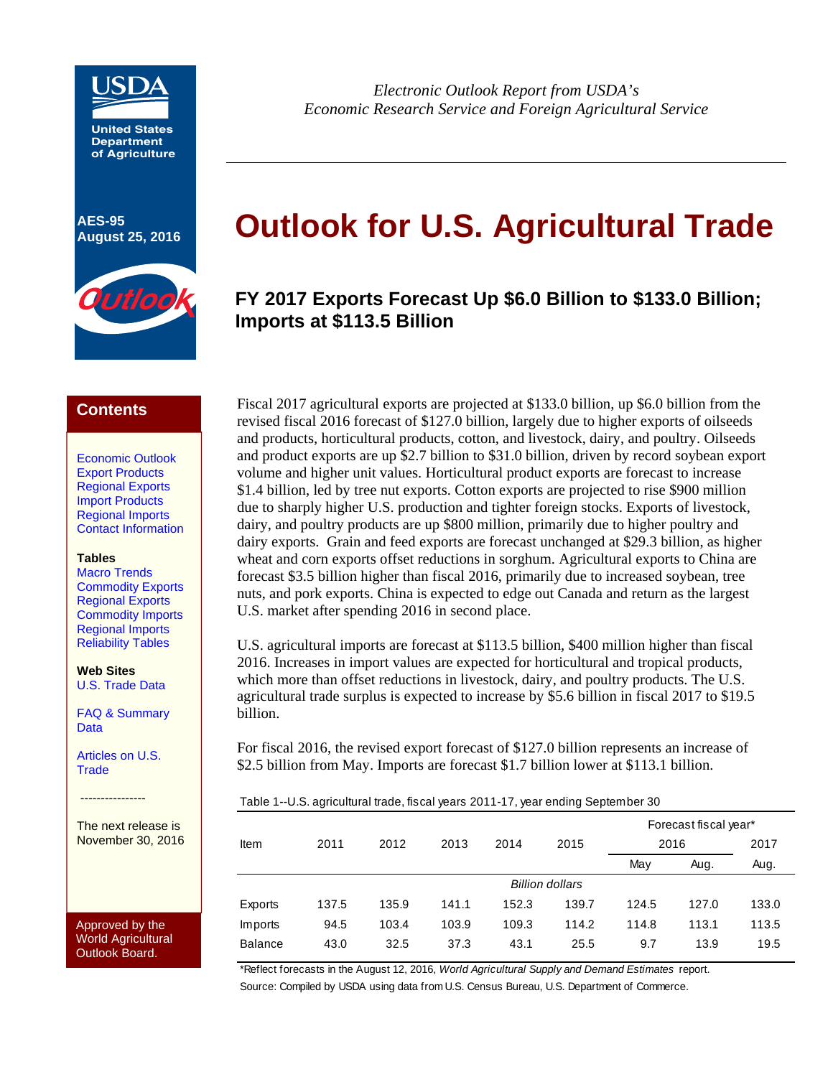

**United States Department of Agriculture**

**AES-95** 



*Electronic Outlook Report from USDA's Economic Research Service and Foreign Agricultural Service* 

# AES-95<br>August 25, 2016 **Outlook for U.S. Agricultural Trade**

# **FY 2017 Exports Forecast Up \$6.0 Billion to \$133.0 Billion; Imports at \$113.5 Billion**

### **Contents**

Economic Outlook Export Products Regional Exports Import Products Regional Imports Contact Information

#### **Tables**

Macro Trends Commodity Exports Regional Exports Commodity Imports Regional Imports Reliability Tables

**Web Sites**  U.S. Trade Data

FAQ & Summary Data

Articles on U.S. **Trade** 

----------------

The next release is November 30, 2016

Approved by the World Agricultural Outlook Board.

Fiscal 2017 agricultural exports are projected at \$133.0 billion, up \$6.0 billion from the revised fiscal 2016 forecast of \$127.0 billion, largely due to higher exports of oilseeds and products, horticultural products, cotton, and livestock, dairy, and poultry. Oilseeds and product exports are up \$2.7 billion to \$31.0 billion, driven by record soybean export volume and higher unit values. Horticultural product exports are forecast to increase \$1.4 billion, led by tree nut exports. Cotton exports are projected to rise \$900 million due to sharply higher U.S. production and tighter foreign stocks. Exports of livestock, dairy, and poultry products are up \$800 million, primarily due to higher poultry and dairy exports. Grain and feed exports are forecast unchanged at \$29.3 billion, as higher wheat and corn exports offset reductions in sorghum. Agricultural exports to China are forecast \$3.5 billion higher than fiscal 2016, primarily due to increased soybean, tree nuts, and pork exports. China is expected to edge out Canada and return as the largest U.S. market after spending 2016 in second place.

U.S. agricultural imports are forecast at \$113.5 billion, \$400 million higher than fiscal 2016. Increases in import values are expected for horticultural and tropical products, which more than offset reductions in livestock, dairy, and poultry products. The U.S. agricultural trade surplus is expected to increase by \$5.6 billion in fiscal 2017 to \$19.5 billion.

For fiscal 2016, the revised export forecast of \$127.0 billion represents an increase of \$2.5 billion from May. Imports are forecast \$1.7 billion lower at \$113.1 billion.

| Table 1--U.S. agricultural trade, fiscal years 2011-17, year ending September 30 |  |
|----------------------------------------------------------------------------------|--|
|                                                                                  |  |

|                |       |       |       |       |                        |       | Forecast fiscal year* |       |  |
|----------------|-------|-------|-------|-------|------------------------|-------|-----------------------|-------|--|
| Item           | 2011  | 2012  | 2013  | 2014  | 2015                   |       | 2016                  | 2017  |  |
|                |       |       |       |       |                        | May   | Aug.                  | Aug.  |  |
|                |       |       |       |       | <b>Billion dollars</b> |       |                       |       |  |
| Exports        | 137.5 | 135.9 | 141.1 | 152.3 | 139.7                  | 124.5 | 127.0                 | 133.0 |  |
| Imports        | 94.5  | 103.4 | 103.9 | 109.3 | 114.2                  | 114.8 | 113.1                 | 113.5 |  |
| <b>Balance</b> | 43.0  | 32.5  | 37.3  | 43.1  | 25.5                   | 9.7   | 13.9                  | 19.5  |  |
|                |       |       |       |       |                        |       |                       |       |  |

\*Reflect forecasts in the August 12, 2016, *World Agricultural Supply and Demand Estimates* report. Source: Compiled by USDA using data from U.S. Census Bureau, U.S. Department of Commerce.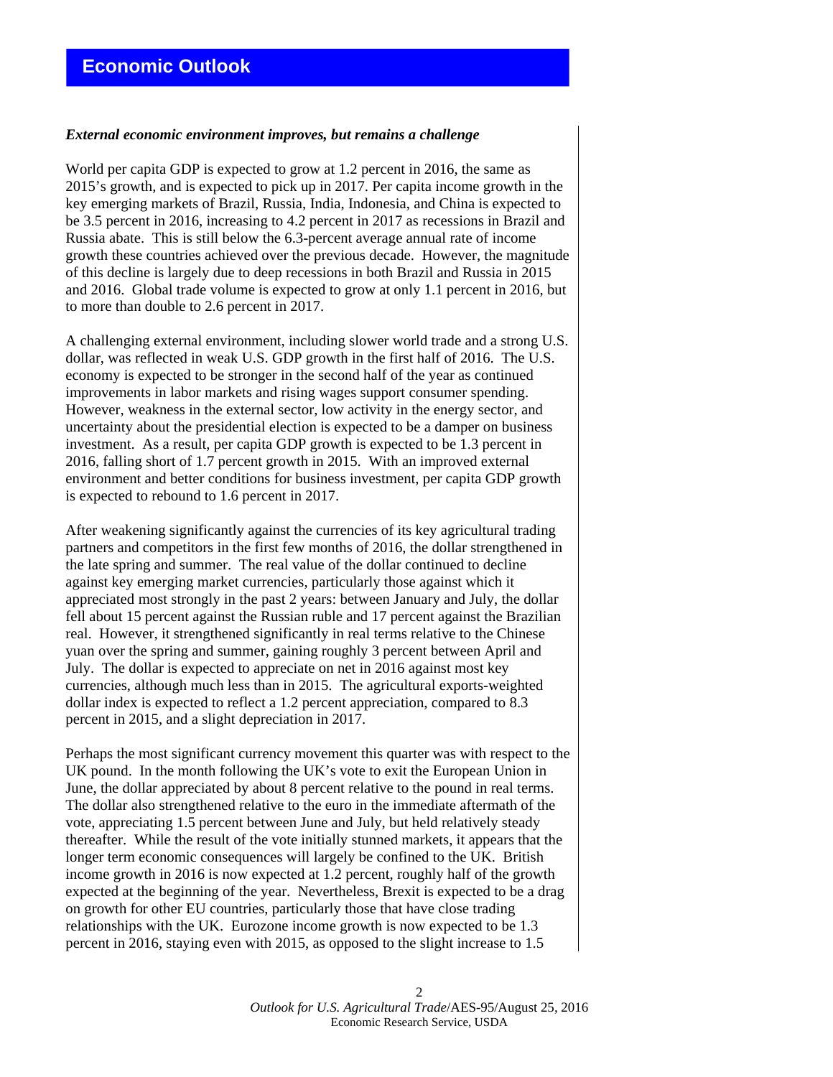### *External economic environment improves, but remains a challenge*

World per capita GDP is expected to grow at 1.2 percent in 2016, the same as 2015's growth, and is expected to pick up in 2017. Per capita income growth in the key emerging markets of Brazil, Russia, India, Indonesia, and China is expected to be 3.5 percent in 2016, increasing to 4.2 percent in 2017 as recessions in Brazil and Russia abate. This is still below the 6.3-percent average annual rate of income growth these countries achieved over the previous decade. However, the magnitude of this decline is largely due to deep recessions in both Brazil and Russia in 2015 and 2016. Global trade volume is expected to grow at only 1.1 percent in 2016, but to more than double to 2.6 percent in 2017.

A challenging external environment, including slower world trade and a strong U.S. dollar, was reflected in weak U.S. GDP growth in the first half of 2016. The U.S. economy is expected to be stronger in the second half of the year as continued improvements in labor markets and rising wages support consumer spending. However, weakness in the external sector, low activity in the energy sector, and uncertainty about the presidential election is expected to be a damper on business investment. As a result, per capita GDP growth is expected to be 1.3 percent in 2016, falling short of 1.7 percent growth in 2015. With an improved external environment and better conditions for business investment, per capita GDP growth is expected to rebound to 1.6 percent in 2017.

After weakening significantly against the currencies of its key agricultural trading partners and competitors in the first few months of 2016, the dollar strengthened in the late spring and summer. The real value of the dollar continued to decline against key emerging market currencies, particularly those against which it appreciated most strongly in the past 2 years: between January and July, the dollar fell about 15 percent against the Russian ruble and 17 percent against the Brazilian real. However, it strengthened significantly in real terms relative to the Chinese yuan over the spring and summer, gaining roughly 3 percent between April and July. The dollar is expected to appreciate on net in 2016 against most key currencies, although much less than in 2015. The agricultural exports-weighted dollar index is expected to reflect a 1.2 percent appreciation, compared to 8.3 percent in 2015, and a slight depreciation in 2017.

Perhaps the most significant currency movement this quarter was with respect to the UK pound. In the month following the UK's vote to exit the European Union in June, the dollar appreciated by about 8 percent relative to the pound in real terms. The dollar also strengthened relative to the euro in the immediate aftermath of the vote, appreciating 1.5 percent between June and July, but held relatively steady thereafter. While the result of the vote initially stunned markets, it appears that the longer term economic consequences will largely be confined to the UK. British income growth in 2016 is now expected at 1.2 percent, roughly half of the growth expected at the beginning of the year. Nevertheless, Brexit is expected to be a drag on growth for other EU countries, particularly those that have close trading relationships with the UK. Eurozone income growth is now expected to be 1.3 percent in 2016, staying even with 2015, as opposed to the slight increase to 1.5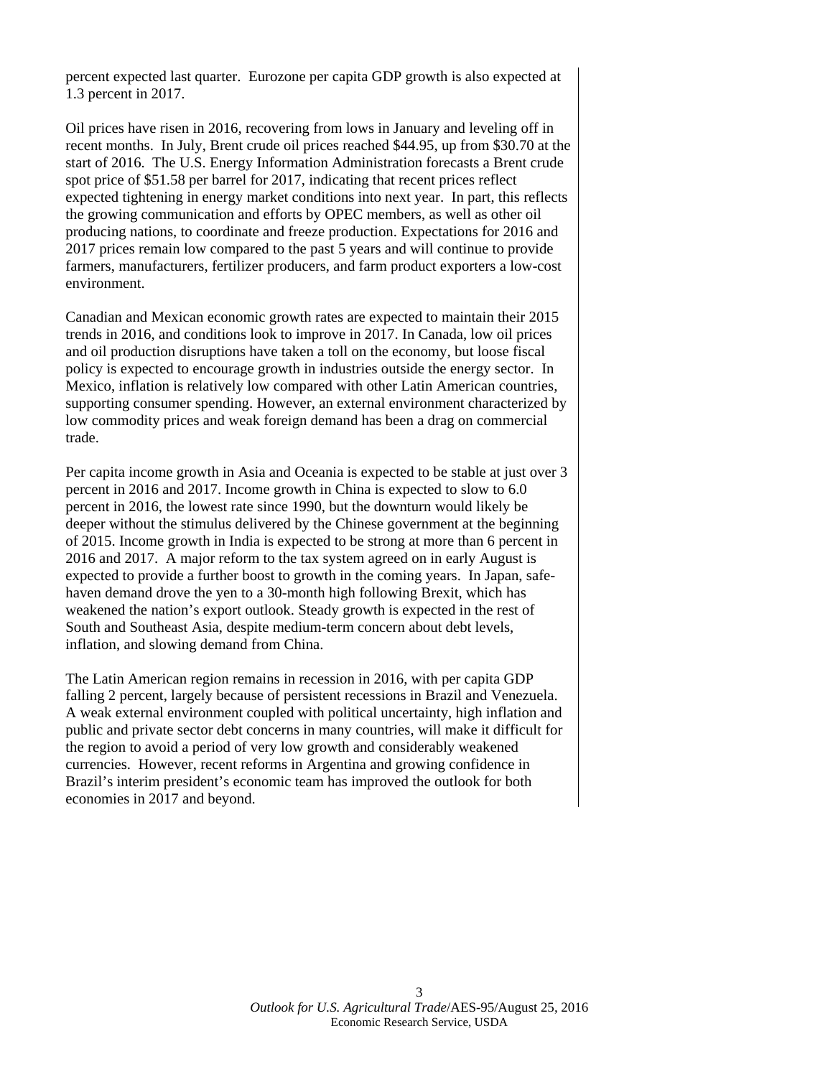percent expected last quarter. Eurozone per capita GDP growth is also expected at 1.3 percent in 2017.

Oil prices have risen in 2016, recovering from lows in January and leveling off in recent months. In July, Brent crude oil prices reached \$44.95, up from \$30.70 at the start of 2016. The U.S. Energy Information Administration forecasts a Brent crude spot price of \$51.58 per barrel for 2017, indicating that recent prices reflect expected tightening in energy market conditions into next year. In part, this reflects the growing communication and efforts by OPEC members, as well as other oil producing nations, to coordinate and freeze production. Expectations for 2016 and 2017 prices remain low compared to the past 5 years and will continue to provide farmers, manufacturers, fertilizer producers, and farm product exporters a low-cost environment.

Canadian and Mexican economic growth rates are expected to maintain their 2015 trends in 2016, and conditions look to improve in 2017. In Canada, low oil prices and oil production disruptions have taken a toll on the economy, but loose fiscal policy is expected to encourage growth in industries outside the energy sector. In Mexico, inflation is relatively low compared with other Latin American countries, supporting consumer spending. However, an external environment characterized by low commodity prices and weak foreign demand has been a drag on commercial trade.

Per capita income growth in Asia and Oceania is expected to be stable at just over 3 percent in 2016 and 2017. Income growth in China is expected to slow to 6.0 percent in 2016, the lowest rate since 1990, but the downturn would likely be deeper without the stimulus delivered by the Chinese government at the beginning of 2015. Income growth in India is expected to be strong at more than 6 percent in 2016 and 2017. A major reform to the tax system agreed on in early August is expected to provide a further boost to growth in the coming years. In Japan, safehaven demand drove the yen to a 30-month high following Brexit, which has weakened the nation's export outlook. Steady growth is expected in the rest of South and Southeast Asia, despite medium-term concern about debt levels, inflation, and slowing demand from China.

The Latin American region remains in recession in 2016, with per capita GDP falling 2 percent, largely because of persistent recessions in Brazil and Venezuela. A weak external environment coupled with political uncertainty, high inflation and public and private sector debt concerns in many countries, will make it difficult for the region to avoid a period of very low growth and considerably weakened currencies. However, recent reforms in Argentina and growing confidence in Brazil's interim president's economic team has improved the outlook for both economies in 2017 and beyond.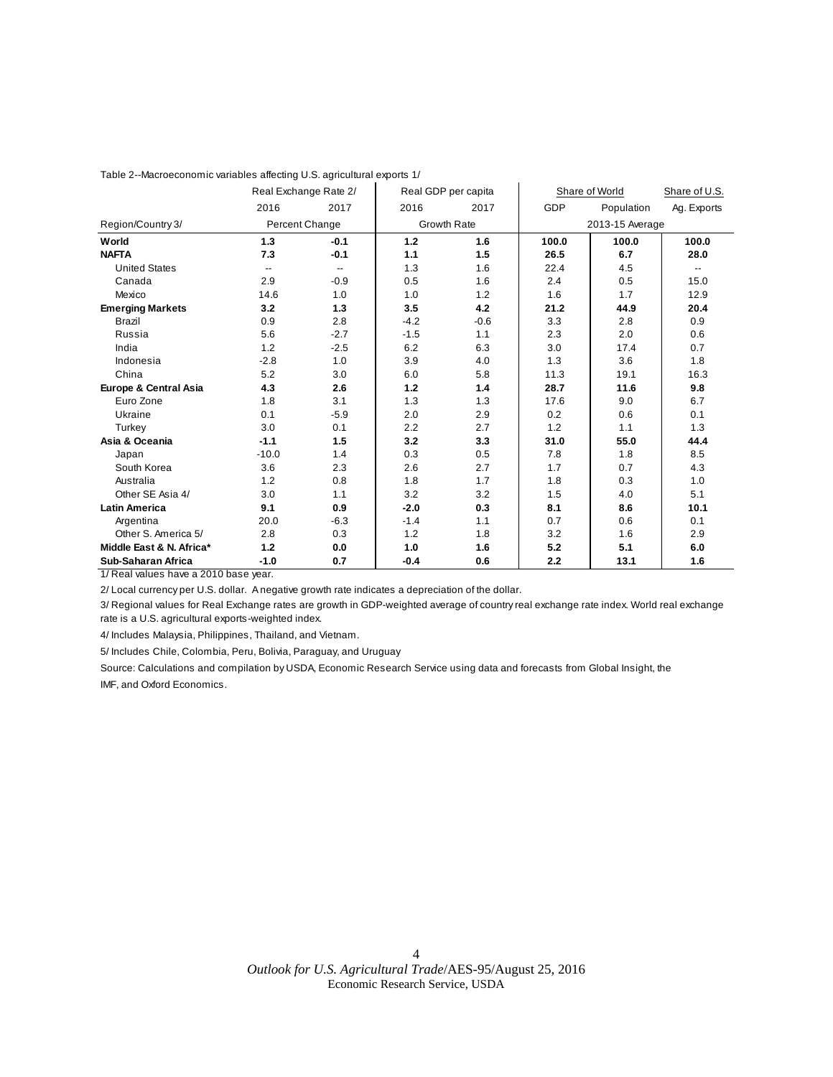|                          |                          | Real Exchange Rate 2/ |        | Real GDP per capita |       | Share of World  | Share of U.S. |
|--------------------------|--------------------------|-----------------------|--------|---------------------|-------|-----------------|---------------|
|                          | 2016                     | 2017                  | 2016   | 2017                | GDP   | Population      | Ag. Exports   |
| Region/Country 3/        |                          | Percent Change        |        | <b>Growth Rate</b>  |       | 2013-15 Average |               |
| World                    | 1.3                      | $-0.1$                | 1.2    | 1.6                 | 100.0 | 100.0           | 100.0         |
| <b>NAFTA</b>             | 7.3                      | $-0.1$                | 1.1    | 1.5                 | 26.5  | 6.7             | 28.0          |
| <b>United States</b>     | $\overline{\phantom{a}}$ | --                    | 1.3    | 1.6                 | 22.4  | 4.5             | --            |
| Canada                   | 2.9                      | $-0.9$                | 0.5    | 1.6                 | 2.4   | 0.5             | 15.0          |
| Mexico                   | 14.6                     | 1.0                   | 1.0    | 1.2                 | 1.6   | 1.7             | 12.9          |
| <b>Emerging Markets</b>  | 3.2                      | 1.3                   | 3.5    | 4.2                 | 21.2  | 44.9            | 20.4          |
| <b>Brazil</b>            | 0.9                      | 2.8                   | $-4.2$ | $-0.6$              | 3.3   | 2.8             | 0.9           |
| Russia                   | 5.6                      | $-2.7$                | $-1.5$ | 1.1                 | 2.3   | 2.0             | 0.6           |
| India                    | 1.2                      | $-2.5$                | 6.2    | 6.3                 | 3.0   | 17.4            | 0.7           |
| Indonesia                | $-2.8$                   | 1.0                   | 3.9    | 4.0                 | 1.3   | 3.6             | 1.8           |
| China                    | 5.2                      | 3.0                   | 6.0    | 5.8                 | 11.3  | 19.1            | 16.3          |
| Europe & Central Asia    | 4.3                      | 2.6                   | 1.2    | 1.4                 | 28.7  | 11.6            | 9.8           |
| Euro Zone                | 1.8                      | 3.1                   | 1.3    | 1.3                 | 17.6  | 9.0             | 6.7           |
| Ukraine                  | 0.1                      | $-5.9$                | 2.0    | 2.9                 | 0.2   | 0.6             | 0.1           |
| Turkey                   | 3.0                      | 0.1                   | 2.2    | 2.7                 | 1.2   | 1.1             | 1.3           |
| Asia & Oceania           | $-1.1$                   | 1.5                   | 3.2    | 3.3                 | 31.0  | 55.0            | 44.4          |
| Japan                    | $-10.0$                  | 1.4                   | 0.3    | 0.5                 | 7.8   | 1.8             | 8.5           |
| South Korea              | 3.6                      | 2.3                   | 2.6    | 2.7                 | 1.7   | 0.7             | 4.3           |
| Australia                | 1.2                      | 0.8                   | 1.8    | 1.7                 | 1.8   | 0.3             | 1.0           |
| Other SE Asia 4/         | 3.0                      | 1.1                   | 3.2    | 3.2                 | 1.5   | 4.0             | 5.1           |
| <b>Latin America</b>     | 9.1                      | 0.9                   | $-2.0$ | 0.3                 | 8.1   | 8.6             | 10.1          |
| Argentina                | 20.0                     | $-6.3$                | $-1.4$ | 1.1                 | 0.7   | 0.6             | 0.1           |
| Other S. America 5/      | 2.8                      | 0.3                   | 1.2    | 1.8                 | 3.2   | 1.6             | 2.9           |
| Middle East & N. Africa* | 1.2                      | 0.0                   | 1.0    | 1.6                 | 5.2   | 5.1             | 6.0           |
| Sub-Saharan Africa       | $-1.0$                   | 0.7                   | $-0.4$ | 0.6                 | 2.2   | 13.1            | 1.6           |

#### Table 2--Macroeconomic variables affecting U.S. agricultural exports 1/

1/ Real values have a 2010 base year.

2/ Local currency per U.S. dollar. A negative growth rate indicates a depreciation of the dollar.

3/ Regional values for Real Exchange rates are growth in GDP-weighted average of country real exchange rate index. World real exchange rate is a U.S. agricultural exports-weighted index.

4/ Includes Malaysia, Philippines, Thailand, and Vietnam.

5/ Includes Chile, Colombia, Peru, Bolivia, Paraguay, and Uruguay

Source: Calculations and compilation by USDA, Economic Research Service using data and forecasts from Global Insight, the IMF, and Oxford Economics.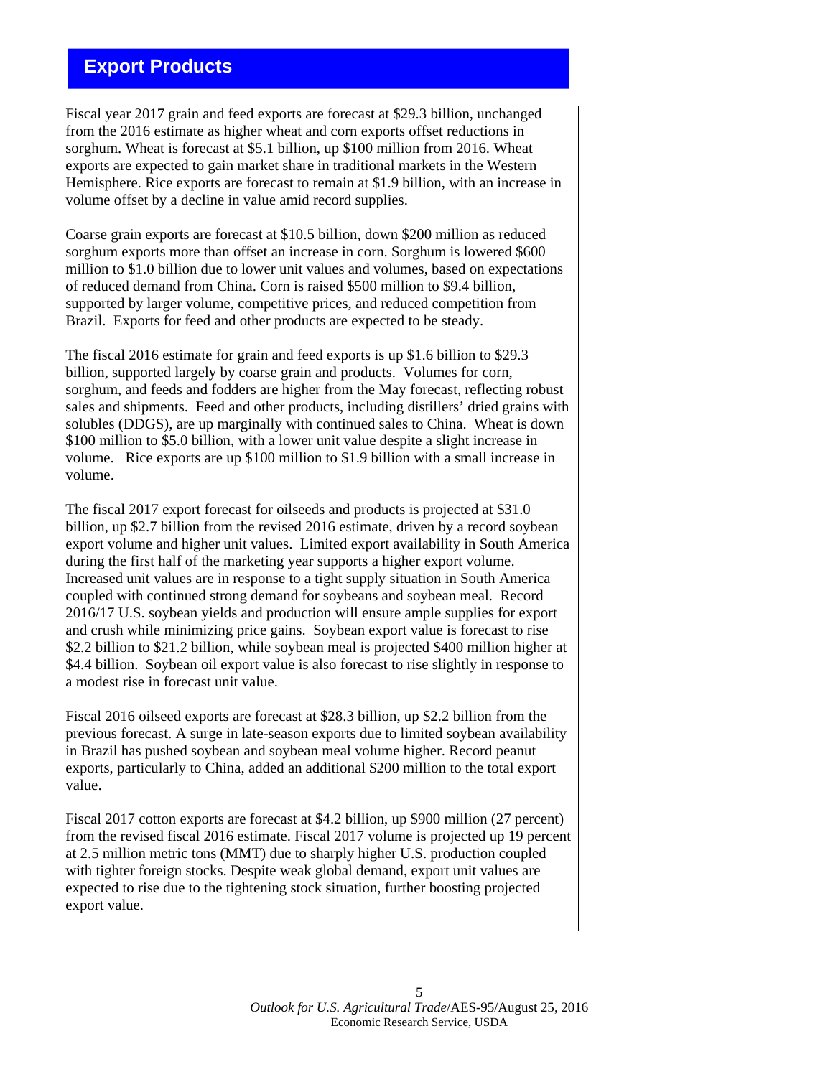## **Export Products**

Fiscal year 2017 grain and feed exports are forecast at \$29.3 billion, unchanged from the 2016 estimate as higher wheat and corn exports offset reductions in sorghum. Wheat is forecast at \$5.1 billion, up \$100 million from 2016. Wheat exports are expected to gain market share in traditional markets in the Western Hemisphere. Rice exports are forecast to remain at \$1.9 billion, with an increase in volume offset by a decline in value amid record supplies.

Coarse grain exports are forecast at \$10.5 billion, down \$200 million as reduced sorghum exports more than offset an increase in corn. Sorghum is lowered \$600 million to \$1.0 billion due to lower unit values and volumes, based on expectations of reduced demand from China. Corn is raised \$500 million to \$9.4 billion, supported by larger volume, competitive prices, and reduced competition from Brazil. Exports for feed and other products are expected to be steady.

The fiscal 2016 estimate for grain and feed exports is up \$1.6 billion to \$29.3 billion, supported largely by coarse grain and products. Volumes for corn, sorghum, and feeds and fodders are higher from the May forecast, reflecting robust sales and shipments. Feed and other products, including distillers' dried grains with solubles (DDGS), are up marginally with continued sales to China. Wheat is down \$100 million to \$5.0 billion, with a lower unit value despite a slight increase in volume. Rice exports are up \$100 million to \$1.9 billion with a small increase in volume.

The fiscal 2017 export forecast for oilseeds and products is projected at \$31.0 billion, up \$2.7 billion from the revised 2016 estimate, driven by a record soybean export volume and higher unit values. Limited export availability in South America during the first half of the marketing year supports a higher export volume. Increased unit values are in response to a tight supply situation in South America coupled with continued strong demand for soybeans and soybean meal. Record 2016/17 U.S. soybean yields and production will ensure ample supplies for export and crush while minimizing price gains. Soybean export value is forecast to rise \$2.2 billion to \$21.2 billion, while soybean meal is projected \$400 million higher at \$4.4 billion. Soybean oil export value is also forecast to rise slightly in response to a modest rise in forecast unit value.

Fiscal 2016 oilseed exports are forecast at \$28.3 billion, up \$2.2 billion from the previous forecast. A surge in late-season exports due to limited soybean availability in Brazil has pushed soybean and soybean meal volume higher. Record peanut exports, particularly to China, added an additional \$200 million to the total export value.

Fiscal 2017 cotton exports are forecast at \$4.2 billion, up \$900 million (27 percent) from the revised fiscal 2016 estimate. Fiscal 2017 volume is projected up 19 percent at 2.5 million metric tons (MMT) due to sharply higher U.S. production coupled with tighter foreign stocks. Despite weak global demand, export unit values are expected to rise due to the tightening stock situation, further boosting projected export value.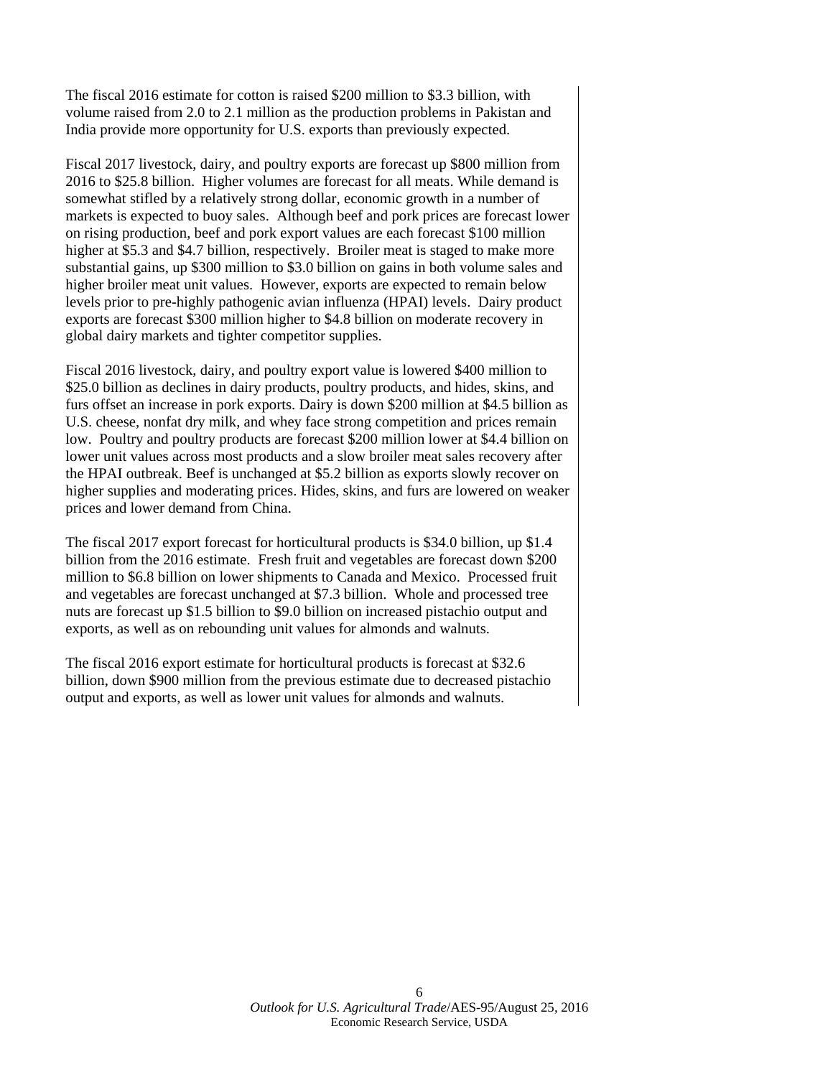The fiscal 2016 estimate for cotton is raised \$200 million to \$3.3 billion, with volume raised from 2.0 to 2.1 million as the production problems in Pakistan and India provide more opportunity for U.S. exports than previously expected.

Fiscal 2017 livestock, dairy, and poultry exports are forecast up \$800 million from 2016 to \$25.8 billion. Higher volumes are forecast for all meats. While demand is somewhat stifled by a relatively strong dollar, economic growth in a number of markets is expected to buoy sales. Although beef and pork prices are forecast lower on rising production, beef and pork export values are each forecast \$100 million higher at \$5.3 and \$4.7 billion, respectively. Broiler meat is staged to make more substantial gains, up \$300 million to \$3.0 billion on gains in both volume sales and higher broiler meat unit values. However, exports are expected to remain below levels prior to pre-highly pathogenic avian influenza (HPAI) levels. Dairy product exports are forecast \$300 million higher to \$4.8 billion on moderate recovery in global dairy markets and tighter competitor supplies.

Fiscal 2016 livestock, dairy, and poultry export value is lowered \$400 million to \$25.0 billion as declines in dairy products, poultry products, and hides, skins, and furs offset an increase in pork exports. Dairy is down \$200 million at \$4.5 billion as U.S. cheese, nonfat dry milk, and whey face strong competition and prices remain low. Poultry and poultry products are forecast \$200 million lower at \$4.4 billion on lower unit values across most products and a slow broiler meat sales recovery after the HPAI outbreak. Beef is unchanged at \$5.2 billion as exports slowly recover on higher supplies and moderating prices. Hides, skins, and furs are lowered on weaker prices and lower demand from China.

The fiscal 2017 export forecast for horticultural products is \$34.0 billion, up \$1.4 billion from the 2016 estimate. Fresh fruit and vegetables are forecast down \$200 million to \$6.8 billion on lower shipments to Canada and Mexico. Processed fruit and vegetables are forecast unchanged at \$7.3 billion. Whole and processed tree nuts are forecast up \$1.5 billion to \$9.0 billion on increased pistachio output and exports, as well as on rebounding unit values for almonds and walnuts.

The fiscal 2016 export estimate for horticultural products is forecast at \$32.6 billion, down \$900 million from the previous estimate due to decreased pistachio output and exports, as well as lower unit values for almonds and walnuts.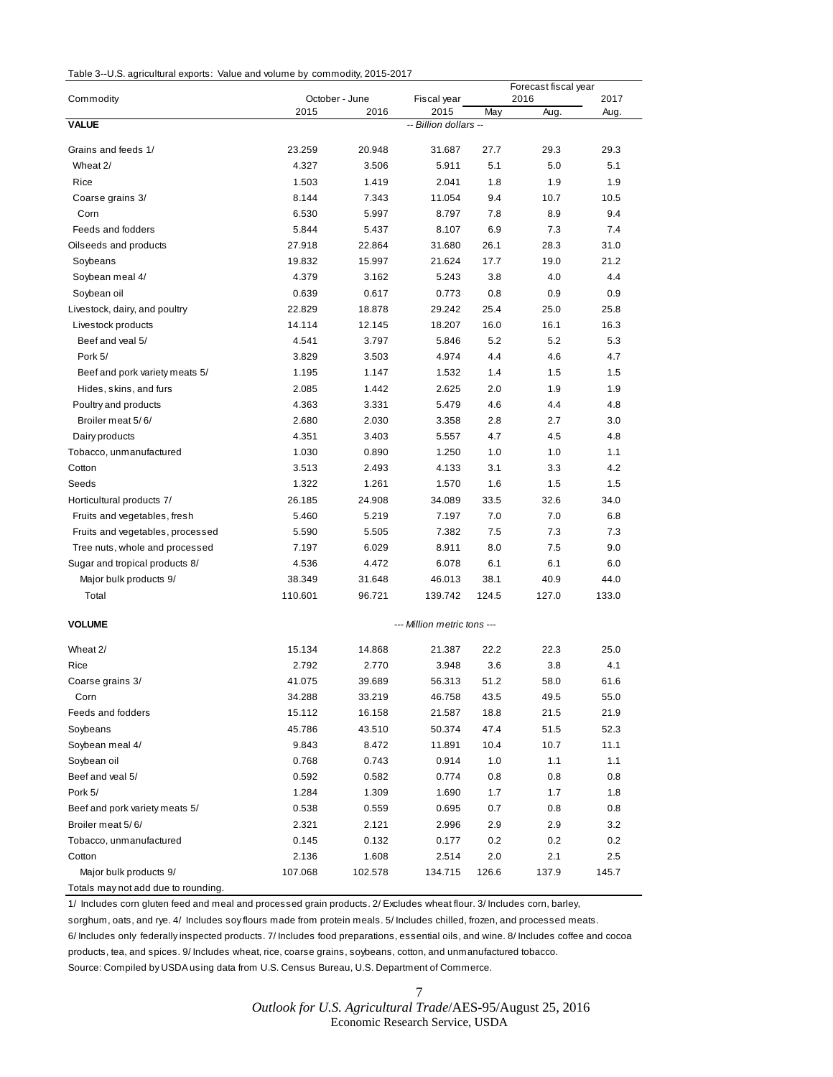| Table 3--U.S. agricultural exports: Value and volume by commodity, 2015-2017 |  |  |
|------------------------------------------------------------------------------|--|--|
|------------------------------------------------------------------------------|--|--|

|                                     |                |                        |                             |            | Forecast fiscal year |              |
|-------------------------------------|----------------|------------------------|-----------------------------|------------|----------------------|--------------|
| Commodity                           | 2015           | October - June<br>2016 | Fiscal year<br>2015         | May        | 2016<br>Aug.         | 2017<br>Aug. |
| <b>VALUE</b>                        |                |                        | -- Billion dollars --       |            |                      |              |
| Grains and feeds 1/                 | 23.259         | 20.948                 | 31.687                      | 27.7       | 29.3                 | 29.3         |
| Wheat 2/                            | 4.327          | 3.506                  | 5.911                       | 5.1        | 5.0                  | 5.1          |
| Rice                                | 1.503          | 1.419                  | 2.041                       | 1.8        | 1.9                  | 1.9          |
|                                     |                |                        |                             |            |                      |              |
| Coarse grains 3/<br>Corn            | 8.144<br>6.530 | 7.343<br>5.997         | 11.054<br>8.797             | 9.4<br>7.8 | 10.7<br>8.9          | 10.5<br>9.4  |
| Feeds and fodders                   | 5.844          | 5.437                  | 8.107                       | 6.9        | 7.3                  | 7.4          |
|                                     | 27.918         |                        | 31.680                      | 26.1       | 28.3                 | 31.0         |
| Oilseeds and products               |                | 22.864                 |                             | 17.7       | 19.0                 | 21.2         |
| Soybeans                            | 19.832         | 15.997                 | 21.624                      |            |                      | 4.4          |
| Soybean meal 4/                     | 4.379          | 3.162                  | 5.243                       | 3.8        | 4.0                  |              |
| Soybean oil                         | 0.639          | 0.617                  | 0.773                       | 0.8        | 0.9                  | 0.9          |
| Livestock, dairy, and poultry       | 22.829         | 18.878                 | 29.242                      | 25.4       | 25.0                 | 25.8         |
| Livestock products                  | 14.114         | 12.145                 | 18.207                      | 16.0       | 16.1                 | 16.3         |
| Beef and veal 5/                    | 4.541          | 3.797                  | 5.846                       | 5.2        | 5.2                  | 5.3          |
| Pork 5/                             | 3.829          | 3.503                  | 4.974                       | 4.4        | 4.6                  | 4.7          |
| Beef and pork variety meats 5/      | 1.195          | 1.147                  | 1.532                       | 1.4        | 1.5                  | 1.5          |
| Hides, skins, and furs              | 2.085          | 1.442                  | 2.625                       | 2.0        | 1.9                  | 1.9          |
| Poultry and products                | 4.363          | 3.331                  | 5.479                       | 4.6        | 4.4                  | 4.8          |
| Broiler meat 5/6/                   | 2.680          | 2.030                  | 3.358                       | 2.8        | 2.7                  | 3.0          |
| Dairy products                      | 4.351          | 3.403                  | 5.557                       | 4.7        | 4.5                  | 4.8          |
| Tobacco, unmanufactured             | 1.030          | 0.890                  | 1.250                       | 1.0        | 1.0                  | 1.1          |
| Cotton                              | 3.513          | 2.493                  | 4.133                       | 3.1        | 3.3                  | 4.2          |
| Seeds                               | 1.322          | 1.261                  | 1.570                       | 1.6        | 1.5                  | 1.5          |
| Horticultural products 7/           | 26.185         | 24.908                 | 34.089                      | 33.5       | 32.6                 | 34.0         |
| Fruits and vegetables, fresh        | 5.460          | 5.219                  | 7.197                       | 7.0        | 7.0                  | 6.8          |
| Fruits and vegetables, processed    | 5.590          | 5.505                  | 7.382                       | 7.5        | 7.3                  | 7.3          |
| Tree nuts, whole and processed      | 7.197          | 6.029                  | 8.911                       | 8.0        | 7.5                  | 9.0          |
| Sugar and tropical products 8/      | 4.536          | 4.472                  | 6.078                       | 6.1        | 6.1                  | 6.0          |
| Major bulk products 9/              | 38.349         | 31.648                 | 46.013                      | 38.1       | 40.9                 | 44.0         |
| Total                               | 110.601        | 96.721                 | 139.742                     | 124.5      | 127.0                | 133.0        |
| <b>VOLUME</b>                       |                |                        | --- Million metric tons --- |            |                      |              |
| Wheat 2/                            | 15.134         | 14.868                 | 21.387                      | 22.2       | 22.3                 | 25.0         |
| Rice                                | 2.792          | 2.770                  | 3.948                       | 3.6        | 3.8                  | 4.1          |
| Coarse grains 3/                    | 41.075         | 39.689                 | 56.313                      | 51.2       | 58.0                 | 61.6         |
| Corn                                | 34.288         | 33.219                 | 46.758                      | 43.5       | 49.5                 | 55.0         |
| Feeds and fodders                   | 15.112         | 16.158                 | 21.587                      | 18.8       | 21.5                 | 21.9         |
| Soybeans                            | 45.786         | 43.510                 | 50.374                      | 47.4       | 51.5                 | 52.3         |
| Soybean meal 4/                     | 9.843          | 8.472                  | 11.891                      | 10.4       | 10.7                 | 11.1         |
| Soybean oil                         | 0.768          | 0.743                  | 0.914                       | 1.0        | 1.1                  | 1.1          |
| Beef and veal 5/                    | 0.592          | 0.582                  | 0.774                       | 0.8        | 0.8                  | 0.8          |
| Pork 5/                             | 1.284          | 1.309                  | 1.690                       | 1.7        | 1.7                  | 1.8          |
| Beef and pork variety meats 5/      | 0.538          | 0.559                  | 0.695                       | $0.7\,$    | 0.8                  | 0.8          |
| Broiler meat 5/6/                   | 2.321          | 2.121                  | 2.996                       | 2.9        | 2.9                  | 3.2          |
| Tobacco, unmanufactured             | 0.145          | 0.132                  | 0.177                       | 0.2        | 0.2                  | 0.2          |
| Cotton                              | 2.136          | 1.608                  | 2.514                       | 2.0        | 2.1                  | 2.5          |
| Major bulk products 9/              | 107.068        | 102.578                | 134.715                     | 126.6      | 137.9                | 145.7        |
| Totals may not add due to rounding. |                |                        |                             |            |                      |              |

1/ Includes corn gluten feed and meal and processed grain products. 2/ Excludes wheat flour. 3/ Includes corn, barley, sorghum, oats, and rye. 4/ Includes soy flours made from protein meals. 5/ Includes chilled, frozen, and processed meats. 6/ Includes only federally inspected products. 7/ Includes food preparations, essential oils, and wine. 8/ Includes coffee and cocoa products, tea, and spices. 9/ Includes wheat, rice, coarse grains, soybeans, cotton, and unmanufactured tobacco. Source: Compiled by USDA using data from U.S. Census Bureau, U.S. Department of Commerce.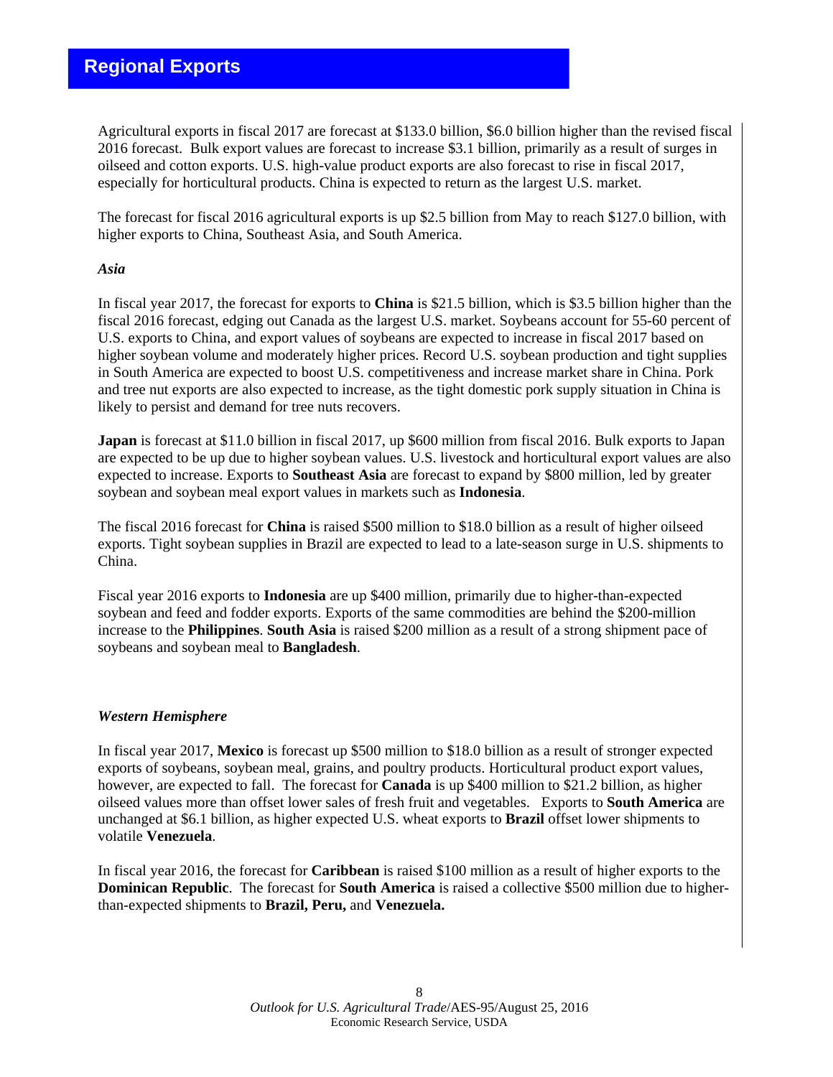# **Regional Exports**

Agricultural exports in fiscal 2017 are forecast at \$133.0 billion, \$6.0 billion higher than the revised fiscal 2016 forecast. Bulk export values are forecast to increase \$3.1 billion, primarily as a result of surges in oilseed and cotton exports. U.S. high-value product exports are also forecast to rise in fiscal 2017, especially for horticultural products. China is expected to return as the largest U.S. market.

The forecast for fiscal 2016 agricultural exports is up \$2.5 billion from May to reach \$127.0 billion, with higher exports to China, Southeast Asia, and South America.

### *Asia*

In fiscal year 2017, the forecast for exports to **China** is \$21.5 billion, which is \$3.5 billion higher than the fiscal 2016 forecast, edging out Canada as the largest U.S. market. Soybeans account for 55-60 percent of U.S. exports to China, and export values of soybeans are expected to increase in fiscal 2017 based on higher soybean volume and moderately higher prices. Record U.S. soybean production and tight supplies in South America are expected to boost U.S. competitiveness and increase market share in China. Pork and tree nut exports are also expected to increase, as the tight domestic pork supply situation in China is likely to persist and demand for tree nuts recovers.

**Japan** is forecast at \$11.0 billion in fiscal 2017, up \$600 million from fiscal 2016. Bulk exports to Japan are expected to be up due to higher soybean values. U.S. livestock and horticultural export values are also expected to increase. Exports to **Southeast Asia** are forecast to expand by \$800 million, led by greater soybean and soybean meal export values in markets such as **Indonesia**.

The fiscal 2016 forecast for **China** is raised \$500 million to \$18.0 billion as a result of higher oilseed exports. Tight soybean supplies in Brazil are expected to lead to a late-season surge in U.S. shipments to China.

Fiscal year 2016 exports to **Indonesia** are up \$400 million, primarily due to higher-than-expected soybean and feed and fodder exports. Exports of the same commodities are behind the \$200-million increase to the **Philippines**. **South Asia** is raised \$200 million as a result of a strong shipment pace of soybeans and soybean meal to **Bangladesh**.

### *Western Hemisphere*

In fiscal year 2017, **Mexico** is forecast up \$500 million to \$18.0 billion as a result of stronger expected exports of soybeans, soybean meal, grains, and poultry products. Horticultural product export values, however, are expected to fall. The forecast for **Canada** is up \$400 million to \$21.2 billion, as higher oilseed values more than offset lower sales of fresh fruit and vegetables. Exports to **South America** are unchanged at \$6.1 billion, as higher expected U.S. wheat exports to **Brazil** offset lower shipments to volatile **Venezuela**.

In fiscal year 2016, the forecast for **Caribbean** is raised \$100 million as a result of higher exports to the **Dominican Republic**. The forecast for **South America** is raised a collective \$500 million due to higherthan-expected shipments to **Brazil, Peru,** and **Venezuela.**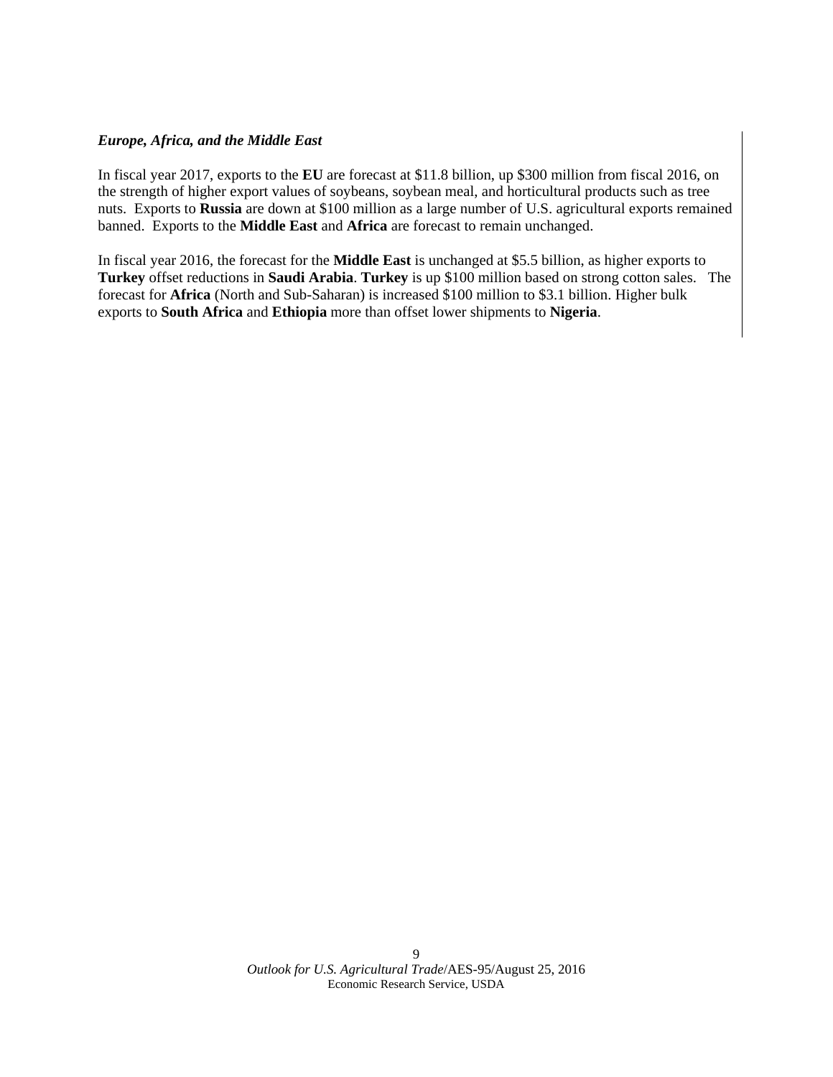### *Europe, Africa, and the Middle East*

In fiscal year 2017, exports to the **EU** are forecast at \$11.8 billion, up \$300 million from fiscal 2016, on the strength of higher export values of soybeans, soybean meal, and horticultural products such as tree nuts. Exports to **Russia** are down at \$100 million as a large number of U.S. agricultural exports remained banned. Exports to the **Middle East** and **Africa** are forecast to remain unchanged.

In fiscal year 2016, the forecast for the **Middle East** is unchanged at \$5.5 billion, as higher exports to **Turkey** offset reductions in **Saudi Arabia**. **Turkey** is up \$100 million based on strong cotton sales. The forecast for **Africa** (North and Sub-Saharan) is increased \$100 million to \$3.1 billion. Higher bulk exports to **South Africa** and **Ethiopia** more than offset lower shipments to **Nigeria**.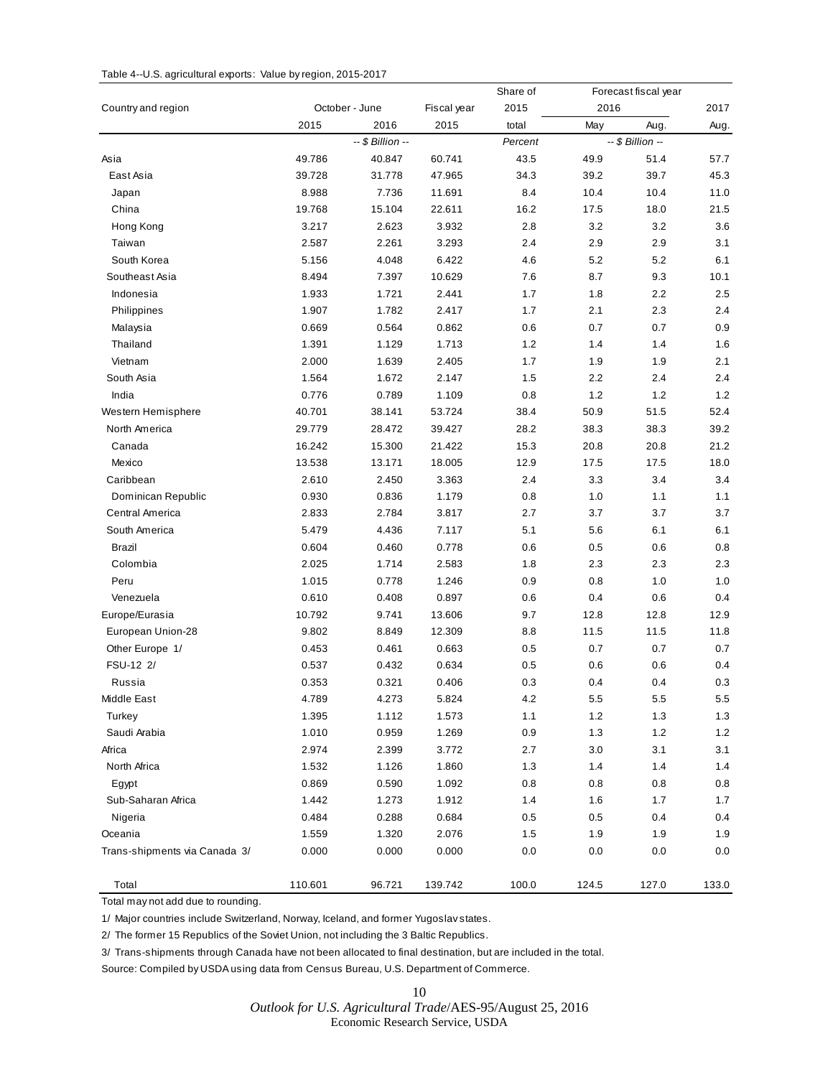### Table 4--U.S. agricultural exports: Value by region, 2015-2017

|                               |         |                  |             | Share of |       | Forecast fiscal year |       |
|-------------------------------|---------|------------------|-------------|----------|-------|----------------------|-------|
| Country and region            |         | October - June   | Fiscal year | 2015     | 2016  |                      | 2017  |
|                               | 2015    | 2016             | 2015        | total    | May   | Aug.                 | Aug.  |
|                               |         | -- \$ Billion -- |             | Percent  |       | -- \$ Billion --     |       |
| Asia                          | 49.786  | 40.847           | 60.741      | 43.5     | 49.9  | 51.4                 | 57.7  |
| East Asia                     | 39.728  | 31.778           | 47.965      | 34.3     | 39.2  | 39.7                 | 45.3  |
| Japan                         | 8.988   | 7.736            | 11.691      | 8.4      | 10.4  | 10.4                 | 11.0  |
| China                         | 19.768  | 15.104           | 22.611      | 16.2     | 17.5  | 18.0                 | 21.5  |
| Hong Kong                     | 3.217   | 2.623            | 3.932       | 2.8      | 3.2   | 3.2                  | 3.6   |
| Taiwan                        | 2.587   | 2.261            | 3.293       | 2.4      | 2.9   | 2.9                  | 3.1   |
| South Korea                   | 5.156   | 4.048            | 6.422       | 4.6      | 5.2   | 5.2                  | 6.1   |
| Southeast Asia                | 8.494   | 7.397            | 10.629      | 7.6      | 8.7   | 9.3                  | 10.1  |
| Indonesia                     | 1.933   | 1.721            | 2.441       | 1.7      | 1.8   | 2.2                  | 2.5   |
| Philippines                   | 1.907   | 1.782            | 2.417       | 1.7      | 2.1   | 2.3                  | 2.4   |
| Malaysia                      | 0.669   | 0.564            | 0.862       | 0.6      | 0.7   | 0.7                  | 0.9   |
| Thailand                      | 1.391   | 1.129            | 1.713       | $1.2$    | 1.4   | 1.4                  | 1.6   |
| Vietnam                       | 2.000   | 1.639            | 2.405       | 1.7      | 1.9   | 1.9                  | 2.1   |
| South Asia                    | 1.564   | 1.672            | 2.147       | 1.5      | 2.2   | 2.4                  | 2.4   |
| India                         | 0.776   | 0.789            | 1.109       | 0.8      | 1.2   | 1.2                  | 1.2   |
| Western Hemisphere            | 40.701  | 38.141           | 53.724      | 38.4     | 50.9  | 51.5                 | 52.4  |
| North America                 | 29.779  | 28.472           | 39.427      | 28.2     | 38.3  | 38.3                 | 39.2  |
| Canada                        | 16.242  | 15.300           | 21.422      | 15.3     | 20.8  | 20.8                 | 21.2  |
| Mexico                        | 13.538  | 13.171           | 18.005      | 12.9     | 17.5  | 17.5                 | 18.0  |
| Caribbean                     | 2.610   | 2.450            | 3.363       | 2.4      | 3.3   | 3.4                  | 3.4   |
| Dominican Republic            | 0.930   | 0.836            | 1.179       | 0.8      | 1.0   | 1.1                  | 1.1   |
| Central America               | 2.833   | 2.784            | 3.817       | 2.7      | 3.7   | 3.7                  | 3.7   |
| South America                 | 5.479   | 4.436            | 7.117       | 5.1      | 5.6   | 6.1                  | 6.1   |
| Brazil                        | 0.604   | 0.460            | 0.778       | 0.6      | 0.5   | 0.6                  | 0.8   |
| Colombia                      | 2.025   | 1.714            | 2.583       | 1.8      | 2.3   | 2.3                  | 2.3   |
| Peru                          | 1.015   | 0.778            | 1.246       | 0.9      | 0.8   | 1.0                  | 1.0   |
| Venezuela                     | 0.610   | 0.408            | 0.897       | 0.6      | 0.4   | 0.6                  | 0.4   |
| Europe/Eurasia                | 10.792  | 9.741            | 13.606      | 9.7      | 12.8  | 12.8                 | 12.9  |
| European Union-28             | 9.802   | 8.849            | 12.309      | 8.8      | 11.5  | 11.5                 | 11.8  |
| Other Europe 1/               | 0.453   | 0.461            | 0.663       | 0.5      | 0.7   | 0.7                  | 0.7   |
| FSU-12 2/                     | 0.537   | 0.432            | 0.634       | 0.5      | 0.6   | 0.6                  | 0.4   |
| Russia                        | 0.353   | 0.321            | 0.406       | 0.3      | 0.4   | 0.4                  | 0.3   |
| Middle East                   | 4.789   | 4.273            | 5.824       | 4.2      | 5.5   | 5.5                  | 5.5   |
| Turkey                        | 1.395   | 1.112            | 1.573       | 1.1      | 1.2   | 1.3                  | 1.3   |
| Saudi Arabia                  | 1.010   | 0.959            | 1.269       | 0.9      | 1.3   | $1.2$                | $1.2$ |
| Africa                        | 2.974   | 2.399            | 3.772       | 2.7      | 3.0   | 3.1                  | 3.1   |
| North Africa                  | 1.532   | 1.126            | 1.860       | 1.3      | 1.4   | 1.4                  | 1.4   |
| Egypt                         | 0.869   | 0.590            | 1.092       | 0.8      | 0.8   | 0.8                  | 0.8   |
| Sub-Saharan Africa            | 1.442   | 1.273            | 1.912       | $1.4$    | 1.6   | 1.7                  | 1.7   |
| Nigeria                       | 0.484   | 0.288            | 0.684       | 0.5      | 0.5   | 0.4                  | 0.4   |
| Oceania                       | 1.559   | 1.320            | 2.076       | 1.5      | 1.9   | 1.9                  | 1.9   |
| Trans-shipments via Canada 3/ | 0.000   | 0.000            | 0.000       | 0.0      | 0.0   | 0.0                  | 0.0   |
| Total                         | 110.601 | 96.721           | 139.742     | 100.0    | 124.5 | 127.0                | 133.0 |

Total may not add due to rounding.

1/ Major countries include Switzerland, Norway, Iceland, and former Yugoslav states.

2/ The former 15 Republics of the Soviet Union, not including the 3 Baltic Republics.

3/ Trans-shipments through Canada have not been allocated to final destination, but are included in the total.

Source: Compiled by USDA using data from Census Bureau, U.S. Department of Commerce.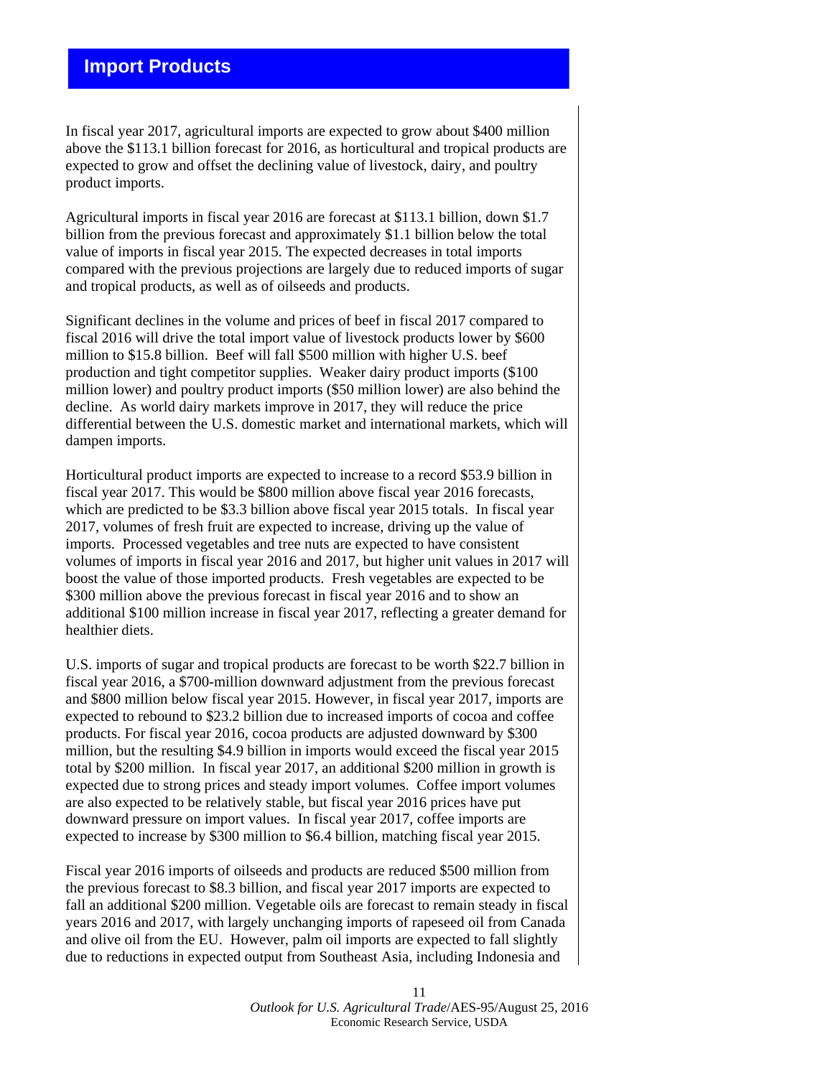# **Import Products**

In fiscal year 2017, agricultural imports are expected to grow about \$400 million above the \$113.1 billion forecast for 2016, as horticultural and tropical products are expected to grow and offset the declining value of livestock, dairy, and poultry product imports.

Agricultural imports in fiscal year 2016 are forecast at \$113.1 billion, down \$1.7 billion from the previous forecast and approximately \$1.1 billion below the total value of imports in fiscal year 2015. The expected decreases in total imports compared with the previous projections are largely due to reduced imports of sugar and tropical products, as well as of oilseeds and products.

Significant declines in the volume and prices of beef in fiscal 2017 compared to fiscal 2016 will drive the total import value of livestock products lower by \$600 million to \$15.8 billion. Beef will fall \$500 million with higher U.S. beef production and tight competitor supplies. Weaker dairy product imports (\$100 million lower) and poultry product imports (\$50 million lower) are also behind the decline. As world dairy markets improve in 2017, they will reduce the price differential between the U.S. domestic market and international markets, which will dampen imports.

Horticultural product imports are expected to increase to a record \$53.9 billion in fiscal year 2017. This would be \$800 million above fiscal year 2016 forecasts, which are predicted to be \$3.3 billion above fiscal year 2015 totals. In fiscal year 2017, volumes of fresh fruit are expected to increase, driving up the value of imports. Processed vegetables and tree nuts are expected to have consistent volumes of imports in fiscal year 2016 and 2017, but higher unit values in 2017 will boost the value of those imported products. Fresh vegetables are expected to be \$300 million above the previous forecast in fiscal year 2016 and to show an additional \$100 million increase in fiscal year 2017, reflecting a greater demand for healthier diets.

U.S. imports of sugar and tropical products are forecast to be worth \$22.7 billion in fiscal year 2016, a \$700-million downward adjustment from the previous forecast and \$800 million below fiscal year 2015. However, in fiscal year 2017, imports are expected to rebound to \$23.2 billion due to increased imports of cocoa and coffee products. For fiscal year 2016, cocoa products are adjusted downward by \$300 million, but the resulting \$4.9 billion in imports would exceed the fiscal year 2015 total by \$200 million. In fiscal year 2017, an additional \$200 million in growth is expected due to strong prices and steady import volumes. Coffee import volumes are also expected to be relatively stable, but fiscal year 2016 prices have put downward pressure on import values. In fiscal year 2017, coffee imports are expected to increase by \$300 million to \$6.4 billion, matching fiscal year 2015.

Fiscal year 2016 imports of oilseeds and products are reduced \$500 million from the previous forecast to \$8.3 billion, and fiscal year 2017 imports are expected to fall an additional \$200 million. Vegetable oils are forecast to remain steady in fiscal years 2016 and 2017, with largely unchanging imports of rapeseed oil from Canada and olive oil from the EU. However, palm oil imports are expected to fall slightly due to reductions in expected output from Southeast Asia, including Indonesia and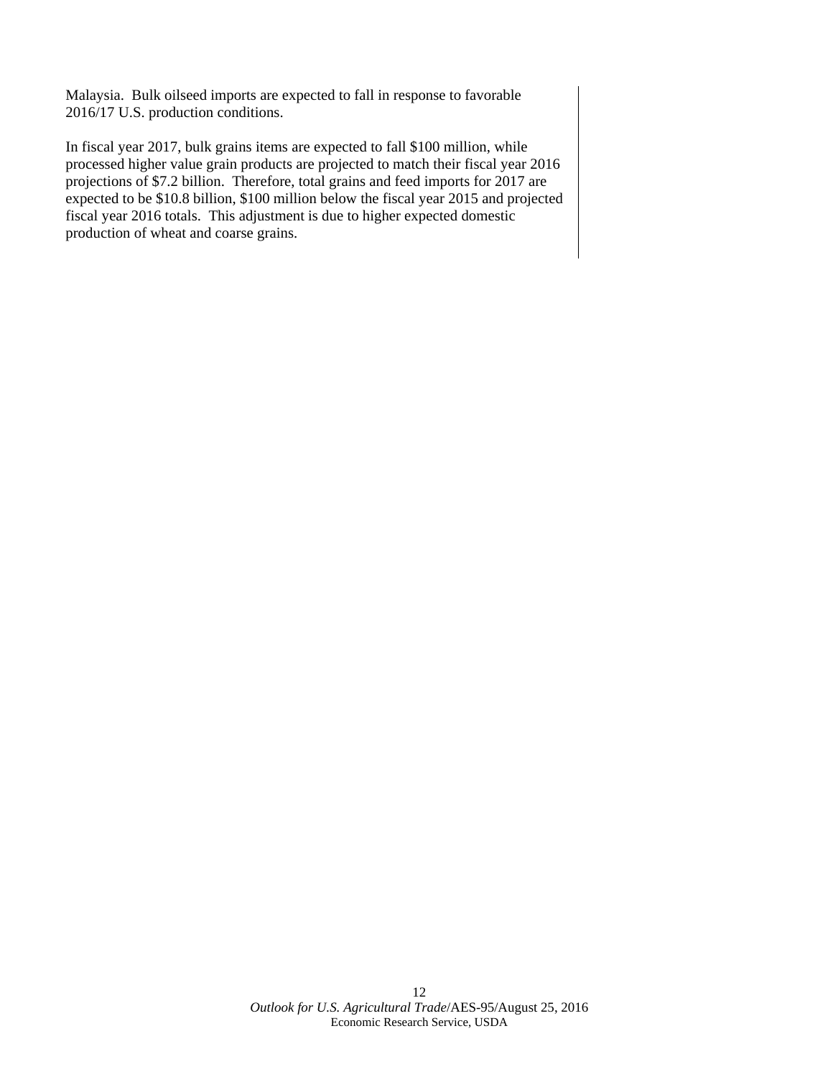Malaysia. Bulk oilseed imports are expected to fall in response to favorable 2016/17 U.S. production conditions.

In fiscal year 2017, bulk grains items are expected to fall \$100 million, while processed higher value grain products are projected to match their fiscal year 2016 projections of \$7.2 billion. Therefore, total grains and feed imports for 2017 are expected to be \$10.8 billion, \$100 million below the fiscal year 2015 and projected fiscal year 2016 totals. This adjustment is due to higher expected domestic production of wheat and coarse grains.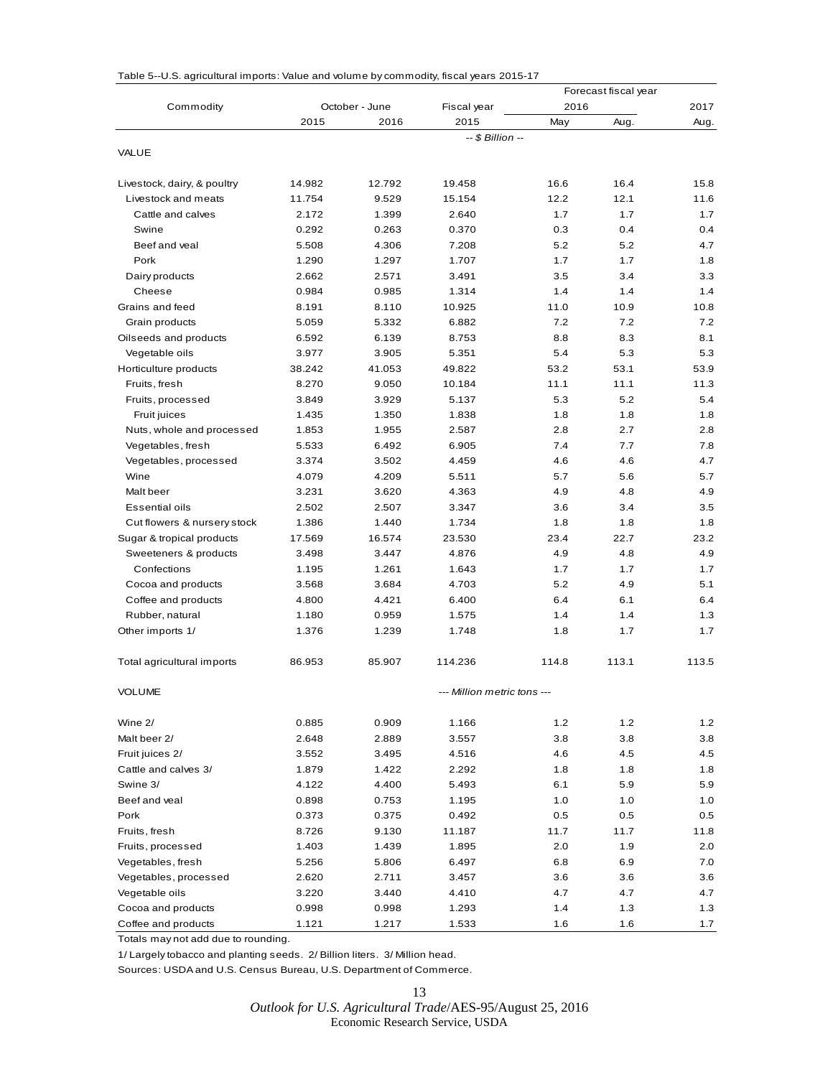|                             |                |                |                             |       | Forecast fiscal year |       |
|-----------------------------|----------------|----------------|-----------------------------|-------|----------------------|-------|
| Commodity                   |                | October - June | Fiscal year                 | 2016  |                      | 2017  |
|                             | 2015           | 2016           | 2015                        | May   | Aug.                 | Aug.  |
|                             |                |                | -- \$ Billion --            |       |                      |       |
| VALUE                       |                |                |                             |       |                      |       |
| Livestock, dairy, & poultry | 14.982         | 12.792         | 19.458                      | 16.6  | 16.4                 | 15.8  |
| Livestock and meats         | 11.754         | 9.529          | 15.154                      | 12.2  | 12.1                 | 11.6  |
| Cattle and calves           | 2.172          | 1.399          | 2.640                       | 1.7   | 1.7                  | 1.7   |
| Swine                       | 0.292          | 0.263          | 0.370                       | 0.3   | 0.4                  | 0.4   |
| Beef and veal               | 5.508          | 4.306          | 7.208                       | 5.2   | 5.2                  | 4.7   |
| Pork                        | 1.290          | 1.297          | 1.707                       | 1.7   | 1.7                  | 1.8   |
| Dairy products              | 2.662          | 2.571          | 3.491                       | 3.5   | 3.4                  | 3.3   |
| Cheese                      | 0.984          | 0.985          | 1.314                       | 1.4   | 1.4                  | 1.4   |
| Grains and feed             | 8.191          | 8.110          | 10.925                      | 11.0  | 10.9                 | 10.8  |
|                             | 5.059          | 5.332          | 6.882                       | 7.2   | 7.2                  | 7.2   |
| Grain products              |                | 6.139          | 8.753                       | 8.8   | 8.3                  | 8.1   |
| Oilseeds and products       | 6.592<br>3.977 |                | 5.351                       | 5.4   | 5.3                  | 5.3   |
| Vegetable oils              |                | 3.905          |                             |       |                      |       |
| Horticulture products       | 38.242         | 41.053         | 49.822                      | 53.2  | 53.1                 | 53.9  |
| Fruits, fresh               | 8.270          | 9.050          | 10.184                      | 11.1  | 11.1                 | 11.3  |
| Fruits, processed           | 3.849          | 3.929          | 5.137                       | 5.3   | 5.2                  | 5.4   |
| Fruit juices                | 1.435          | 1.350          | 1.838                       | 1.8   | 1.8                  | 1.8   |
| Nuts, whole and processed   | 1.853          | 1.955          | 2.587                       | 2.8   | 2.7                  | 2.8   |
| Vegetables, fresh           | 5.533          | 6.492          | 6.905                       | 7.4   | 7.7                  | 7.8   |
| Vegetables, processed       | 3.374          | 3.502          | 4.459                       | 4.6   | 4.6                  | 4.7   |
| Wine                        | 4.079          | 4.209          | 5.511                       | 5.7   | 5.6                  | 5.7   |
| Malt beer                   | 3.231          | 3.620          | 4.363                       | 4.9   | 4.8                  | 4.9   |
| <b>Essential oils</b>       | 2.502          | 2.507          | 3.347                       | 3.6   | 3.4                  | 3.5   |
| Cut flowers & nursery stock | 1.386          | 1.440          | 1.734                       | 1.8   | 1.8                  | 1.8   |
| Sugar & tropical products   | 17.569         | 16.574         | 23.530                      | 23.4  | 22.7                 | 23.2  |
| Sweeteners & products       | 3.498          | 3.447          | 4.876                       | 4.9   | 4.8                  | 4.9   |
| Confections                 | 1.195          | 1.261          | 1.643                       | 1.7   | 1.7                  | 1.7   |
| Cocoa and products          | 3.568          | 3.684          | 4.703                       | 5.2   | 4.9                  | 5.1   |
| Coffee and products         | 4.800          | 4.421          | 6.400                       | 6.4   | 6.1                  | 6.4   |
| Rubber, natural             | 1.180          | 0.959          | 1.575                       | 1.4   | 1.4                  | 1.3   |
| Other imports 1/            | 1.376          | 1.239          | 1.748                       | 1.8   | 1.7                  | 1.7   |
| Total agricultural imports  | 86.953         | 85.907         | 114.236                     | 114.8 | 113.1                | 113.5 |
| VOLUME                      |                |                | --- Million metric tons --- |       |                      |       |
| Wine 2/                     | 0.885          | 0.909          | 1.166                       | 1.2   | 1.2                  | 1.2   |
| Malt beer 2/                | 2.648          | 2.889          | 3.557                       | 3.8   | 3.8                  | 3.8   |
| Fruit juices 2/             | 3.552          | 3.495          | 4.516                       | 4.6   | 4.5                  | 4.5   |
| Cattle and calves 3/        | 1.879          | 1.422          | 2.292                       | 1.8   | 1.8                  | 1.8   |
| Swine 3/                    | 4.122          | 4.400          | 5.493                       | 6.1   | 5.9                  | 5.9   |
| Beef and veal               | 0.898          | 0.753          | 1.195                       | 1.0   | 1.0                  | 1.0   |
| Pork                        | 0.373          | 0.375          | 0.492                       | 0.5   | 0.5                  | 0.5   |
| Fruits, fresh               | 8.726          | 9.130          | 11.187                      | 11.7  | 11.7                 | 11.8  |
| Fruits, processed           | 1.403          | 1.439          | 1.895                       | 2.0   | 1.9                  | 2.0   |
| Vegetables, fresh           | 5.256          | 5.806          | 6.497                       | 6.8   | 6.9                  | 7.0   |
| Vegetables, processed       | 2.620          | 2.711          | 3.457                       | 3.6   | 3.6                  | 3.6   |
| Vegetable oils              | 3.220          | 3.440          | 4.410                       | 4.7   | 4.7                  | 4.7   |
| Cocoa and products          |                |                |                             | 1.4   |                      |       |
|                             | 0.998          | 0.998          | 1.293                       |       | 1.3                  | 1.3   |
| Coffee and products         | 1.121          | 1.217          | 1.533                       | 1.6   | 1.6                  | 1.7   |

Table 5--U.S. agricultural imports: Value and volume by commodity, fiscal years 2015-17

Totals may not add due to rounding.

1/ Largely tobacco and planting seeds. 2/ Billion liters. 3/ Million head.

Sources: USDA and U.S. Census Bureau, U.S. Department of Commerce.

13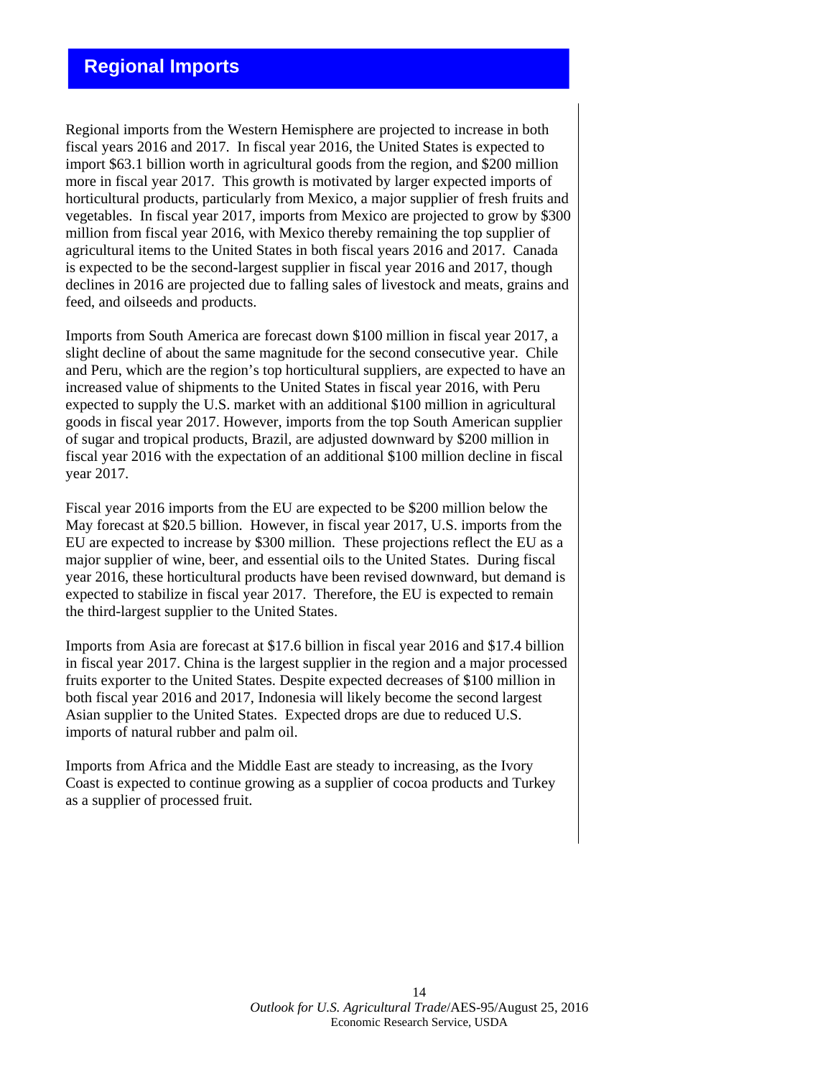## **Regional Imports**

Regional imports from the Western Hemisphere are projected to increase in both fiscal years 2016 and 2017. In fiscal year 2016, the United States is expected to import \$63.1 billion worth in agricultural goods from the region, and \$200 million more in fiscal year 2017. This growth is motivated by larger expected imports of horticultural products, particularly from Mexico, a major supplier of fresh fruits and vegetables. In fiscal year 2017, imports from Mexico are projected to grow by \$300 million from fiscal year 2016, with Mexico thereby remaining the top supplier of agricultural items to the United States in both fiscal years 2016 and 2017. Canada is expected to be the second-largest supplier in fiscal year 2016 and 2017, though declines in 2016 are projected due to falling sales of livestock and meats, grains and feed, and oilseeds and products.

Imports from South America are forecast down \$100 million in fiscal year 2017, a slight decline of about the same magnitude for the second consecutive year. Chile and Peru, which are the region's top horticultural suppliers, are expected to have an increased value of shipments to the United States in fiscal year 2016, with Peru expected to supply the U.S. market with an additional \$100 million in agricultural goods in fiscal year 2017. However, imports from the top South American supplier of sugar and tropical products, Brazil, are adjusted downward by \$200 million in fiscal year 2016 with the expectation of an additional \$100 million decline in fiscal year 2017.

Fiscal year 2016 imports from the EU are expected to be \$200 million below the May forecast at \$20.5 billion. However, in fiscal year 2017, U.S. imports from the EU are expected to increase by \$300 million. These projections reflect the EU as a major supplier of wine, beer, and essential oils to the United States. During fiscal year 2016, these horticultural products have been revised downward, but demand is expected to stabilize in fiscal year 2017. Therefore, the EU is expected to remain the third-largest supplier to the United States.

Imports from Asia are forecast at \$17.6 billion in fiscal year 2016 and \$17.4 billion in fiscal year 2017. China is the largest supplier in the region and a major processed fruits exporter to the United States. Despite expected decreases of \$100 million in both fiscal year 2016 and 2017, Indonesia will likely become the second largest Asian supplier to the United States. Expected drops are due to reduced U.S. imports of natural rubber and palm oil.

Imports from Africa and the Middle East are steady to increasing, as the Ivory Coast is expected to continue growing as a supplier of cocoa products and Turkey as a supplier of processed fruit.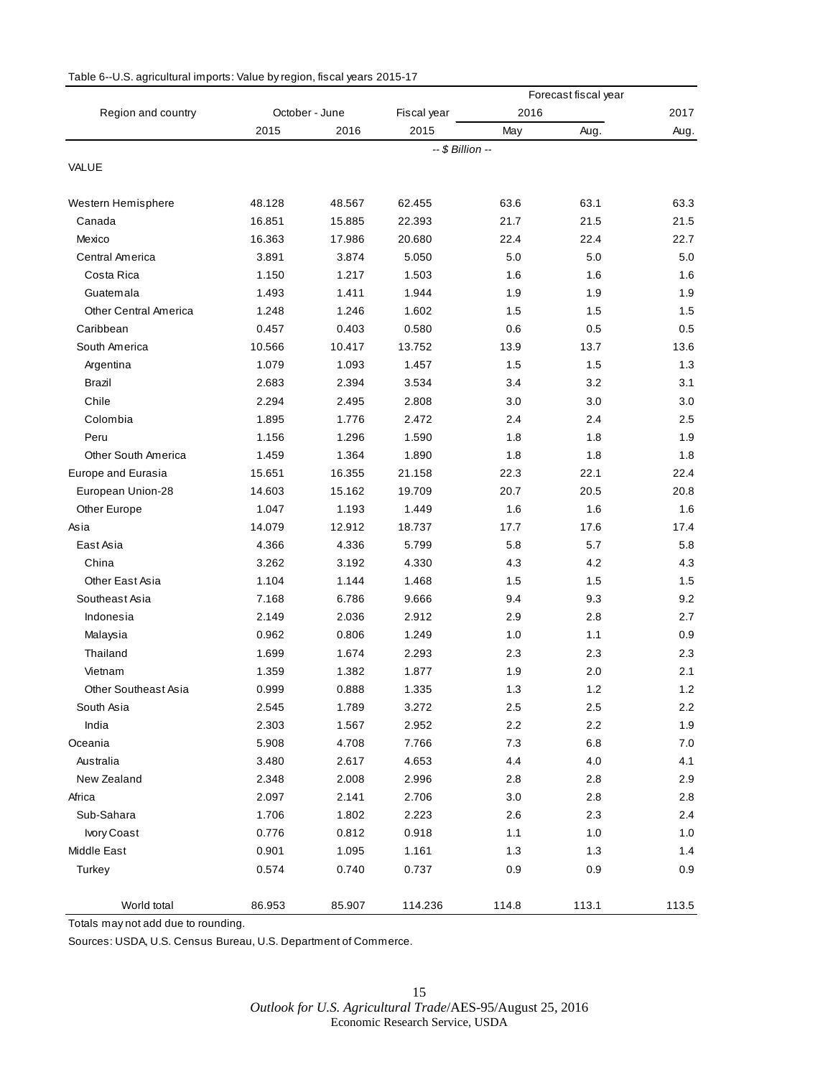|                              |        |                |                  |       | Forecast fiscal year |       |
|------------------------------|--------|----------------|------------------|-------|----------------------|-------|
| Region and country           |        | October - June | Fiscal year      | 2016  |                      | 2017  |
|                              | 2015   | 2016           | 2015             | May   | Aug.                 | Aug.  |
|                              |        |                | -- \$ Billion -- |       |                      |       |
| VALUE                        |        |                |                  |       |                      |       |
| Western Hemisphere           | 48.128 | 48.567         | 62.455           | 63.6  | 63.1                 | 63.3  |
| Canada                       | 16.851 | 15.885         | 22.393           | 21.7  | 21.5                 | 21.5  |
| Mexico                       | 16.363 | 17.986         | 20.680           | 22.4  | 22.4                 | 22.7  |
| Central America              | 3.891  | 3.874          | 5.050            | 5.0   | 5.0                  | 5.0   |
| Costa Rica                   | 1.150  | 1.217          | 1.503            | 1.6   | 1.6                  | 1.6   |
| Guatemala                    | 1.493  | 1.411          | 1.944            | 1.9   | 1.9                  | 1.9   |
| <b>Other Central America</b> | 1.248  | 1.246          | 1.602            | 1.5   | 1.5                  | 1.5   |
| Caribbean                    | 0.457  | 0.403          | 0.580            | 0.6   | 0.5                  | 0.5   |
| South America                | 10.566 | 10.417         | 13.752           | 13.9  | 13.7                 | 13.6  |
| Argentina                    | 1.079  | 1.093          | 1.457            | 1.5   | 1.5                  | 1.3   |
| Brazil                       | 2.683  | 2.394          | 3.534            | 3.4   | 3.2                  | 3.1   |
| Chile                        | 2.294  | 2.495          | 2.808            | 3.0   | 3.0                  | 3.0   |
| Colombia                     | 1.895  | 1.776          | 2.472            | 2.4   | 2.4                  | 2.5   |
| Peru                         | 1.156  | 1.296          | 1.590            | 1.8   | 1.8                  | 1.9   |
| <b>Other South America</b>   | 1.459  | 1.364          | 1.890            | 1.8   | 1.8                  | 1.8   |
| Europe and Eurasia           | 15.651 | 16.355         | 21.158           | 22.3  | 22.1                 | 22.4  |
| European Union-28            | 14.603 | 15.162         | 19.709           | 20.7  | 20.5                 | 20.8  |
| Other Europe                 | 1.047  | 1.193          | 1.449            | 1.6   | 1.6                  | 1.6   |
| Asia                         | 14.079 | 12.912         | 18.737           | 17.7  | 17.6                 | 17.4  |
| East Asia                    | 4.366  | 4.336          | 5.799            | 5.8   | 5.7                  | 5.8   |
| China                        | 3.262  | 3.192          | 4.330            | 4.3   | 4.2                  | 4.3   |
| Other East Asia              | 1.104  | 1.144          | 1.468            | 1.5   | 1.5                  | 1.5   |
| Southeast Asia               | 7.168  | 6.786          | 9.666            | 9.4   | 9.3                  | 9.2   |
| Indonesia                    | 2.149  | 2.036          | 2.912            | 2.9   | 2.8                  | 2.7   |
| Malaysia                     | 0.962  | 0.806          | 1.249            | 1.0   | 1.1                  | 0.9   |
| Thailand                     | 1.699  | 1.674          | 2.293            | 2.3   | 2.3                  | 2.3   |
| Vietnam                      | 1.359  | 1.382          | 1.877            | 1.9   | 2.0                  | 2.1   |
| <b>Other Southeast Asia</b>  | 0.999  | 0.888          | 1.335            | 1.3   | 1.2                  | 1.2   |
| South Asia                   | 2.545  | 1.789          | 3.272            | 2.5   | 2.5                  | 2.2   |
| India                        | 2.303  | 1.567          | 2.952            | 2.2   | $2.2\,$              | 1.9   |
| Oceania                      | 5.908  | 4.708          | 7.766            | 7.3   | $6.8\,$              | 7.0   |
| Australia                    | 3.480  | 2.617          | 4.653            | 4.4   | 4.0                  | 4.1   |
| New Zealand                  | 2.348  | 2.008          | 2.996            | 2.8   | 2.8                  | 2.9   |
| Africa                       | 2.097  | 2.141          | 2.706            | 3.0   | 2.8                  | 2.8   |
| Sub-Sahara                   | 1.706  | 1.802          | 2.223            | 2.6   | 2.3                  | 2.4   |
| Ivory Coast                  | 0.776  | 0.812          | 0.918            | $1.1$ | 1.0                  | 1.0   |
| Middle East                  | 0.901  | 1.095          | 1.161            | 1.3   | 1.3                  | 1.4   |
| Turkey                       | 0.574  | 0.740          | 0.737            | 0.9   | 0.9                  | 0.9   |
|                              |        |                |                  |       |                      |       |
| World total                  | 86.953 | 85.907         | 114.236          | 114.8 | 113.1                | 113.5 |

#### Table 6--U.S. agricultural imports: Value by region, fiscal years 2015-17

Totals may not add due to rounding.

Sources: USDA, U.S. Census Bureau, U.S. Department of Commerce.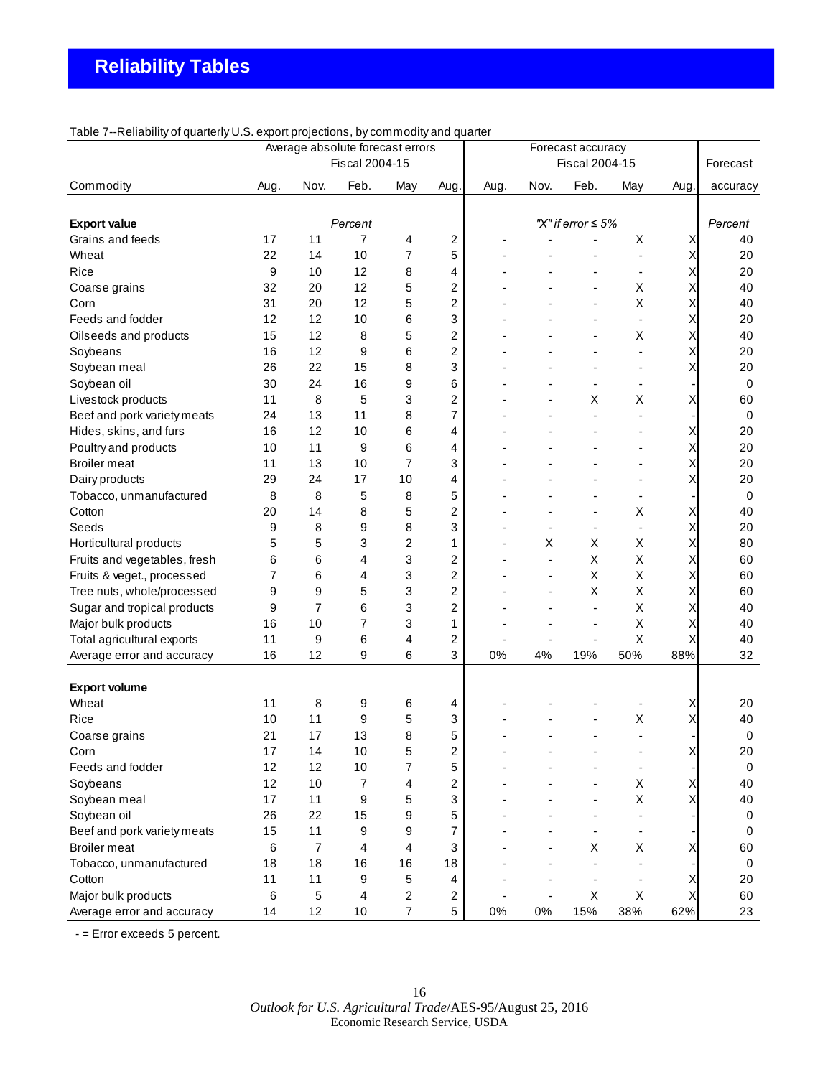| 100101<br>religious of guarterly offer export projections, by commodity and guarter |                |                | Average absolute forecast errors<br>Fiscal 2004-15 |                         |                         | Forecast accuracy<br>Fiscal 2004-15 |      |                         |                          | Forecast |             |
|-------------------------------------------------------------------------------------|----------------|----------------|----------------------------------------------------|-------------------------|-------------------------|-------------------------------------|------|-------------------------|--------------------------|----------|-------------|
|                                                                                     |                |                |                                                    |                         |                         |                                     |      |                         |                          |          |             |
| Commodity                                                                           | Aug.           | Nov.           | Feb.                                               | May                     | Aug.                    | Aug.                                | Nov. | Feb.                    | May                      | Aug.     | accuracy    |
|                                                                                     |                |                |                                                    |                         |                         |                                     |      |                         |                          |          |             |
| <b>Export value</b>                                                                 |                |                | Percent                                            |                         |                         |                                     |      | "X" if error $\leq 5\%$ |                          |          | Percent     |
| Grains and feeds                                                                    | 17             | 11             | 7                                                  | 4                       | 2                       |                                     |      |                         | Χ                        | Χ        | 40          |
| Wheat                                                                               | 22             | 14             | 10                                                 | $\overline{7}$          | 5                       |                                     |      |                         |                          | Χ        | 20          |
| Rice                                                                                | 9              | 10             | 12                                                 | 8                       | 4                       |                                     |      |                         |                          | Χ        | 20          |
| Coarse grains                                                                       | 32             | 20             | 12                                                 | 5                       | $\overline{\mathbf{c}}$ |                                     |      |                         | X                        | Χ        | 40          |
| Corn                                                                                | 31             | 20             | 12                                                 | 5                       | $\overline{\mathbf{c}}$ |                                     |      |                         | X                        | Χ        | 40          |
| Feeds and fodder                                                                    | 12             | 12             | 10                                                 | 6                       | 3                       |                                     |      |                         |                          | Х        | 20          |
| Oilseeds and products                                                               | 15             | 12             | 8                                                  | 5                       | 2                       |                                     |      |                         | Χ                        | Х        | 40          |
| Soybeans                                                                            | 16             | 12             | 9                                                  | 6                       | 2                       |                                     |      |                         |                          | Х        | 20          |
| Soybean meal                                                                        | 26             | 22             | 15                                                 | 8                       | 3                       |                                     |      |                         | ä,                       | Х        | 20          |
| Soybean oil                                                                         | 30             | 24             | 16                                                 | 9                       | 6                       |                                     |      | ٠                       | $\overline{\phantom{a}}$ |          | 0           |
| Livestock products                                                                  | 11             | 8              | 5                                                  | 3                       | 2                       |                                     |      | Χ                       | Χ                        | Χ        | 60          |
| Beef and pork variety meats                                                         | 24             | 13             | 11                                                 | 8                       | 7                       |                                     |      |                         |                          |          | 0           |
| Hides, skins, and furs                                                              | 16             | 12             | 10                                                 | 6                       | 4                       |                                     |      |                         |                          | Χ        | 20          |
| Poultry and products                                                                | 10             | 11             | 9                                                  | 6                       | 4                       |                                     |      |                         |                          | Χ        | 20          |
| <b>Broiler</b> meat                                                                 | 11             | 13             | 10                                                 | $\overline{7}$          | 3                       |                                     |      |                         |                          | Χ        | 20          |
| Dairy products                                                                      | 29             | 24             | 17                                                 | 10                      | 4                       |                                     |      |                         |                          | Χ        | 20          |
| Tobacco, unmanufactured                                                             | 8              | 8              | 5                                                  | 8                       | 5                       |                                     |      |                         |                          |          | 0           |
| Cotton                                                                              | 20             | 14             | 8                                                  | 5                       | 2                       |                                     |      |                         | X                        | Χ        | 40          |
| Seeds                                                                               | 9              | 8              | 9                                                  | 8                       | 3                       |                                     |      |                         |                          | Χ        | 20          |
| Horticultural products                                                              | 5              | 5              | 3                                                  | $\overline{\mathbf{c}}$ | 1                       |                                     | X    | X                       | X                        | Χ        | 80          |
| Fruits and vegetables, fresh                                                        | 6              | 6              | 4                                                  | 3                       | $\overline{c}$          |                                     |      | X                       | X                        | Χ        | 60          |
| Fruits & veget., processed                                                          | $\overline{7}$ | 6              | 4                                                  | 3                       | $\overline{c}$          |                                     |      | Χ                       | Χ                        | Χ        | 60          |
| Tree nuts, whole/processed                                                          | 9              | 9              | 5                                                  | 3                       | 2                       |                                     |      | X                       | Χ                        | Χ        | 60          |
| Sugar and tropical products                                                         | 9              | 7              | 6                                                  | 3                       | 2                       |                                     |      | $\blacksquare$          | Χ                        | Χ        | 40          |
| Major bulk products                                                                 | 16             | 10             | 7                                                  | 3                       | 1                       |                                     |      | ٠                       | Χ                        | Χ        | 40          |
| Total agricultural exports                                                          | 11             | 9              | 6                                                  | 4                       | 2                       |                                     |      |                         | Χ                        | Χ        | 40          |
| Average error and accuracy                                                          | 16             | 12             | 9                                                  | 6                       | 3                       | 0%                                  | 4%   | 19%                     | 50%                      | 88%      | 32          |
| <b>Export volume</b>                                                                |                |                |                                                    |                         |                         |                                     |      |                         |                          |          |             |
| Wheat                                                                               | 11             | 8              | 9                                                  | 6                       | 4                       |                                     |      |                         |                          | Х        | 20          |
| Rice                                                                                | 10             | 11             | 9                                                  | 5                       | 3                       |                                     |      |                         | Χ                        | Х        | 40          |
| Coarse grains                                                                       | 21             | 17             | 13                                                 | 8                       | 5                       |                                     |      |                         |                          |          | 0           |
| Corn                                                                                | 17             | 14             | 10                                                 | 5                       | 2                       |                                     |      |                         |                          | Χ        | 20          |
| Feeds and fodder                                                                    | 12             | 12             | 10                                                 | 7                       | 5                       |                                     |      |                         | ٠                        |          | $\mathbf 0$ |
| Soybeans                                                                            | 12             | 10             | 7                                                  | 4                       | 2                       |                                     |      |                         | Χ                        | Χ        | 40          |
| Soybean meal                                                                        | 17             | 11             | 9                                                  | 5                       | 3                       |                                     |      |                         | Χ                        | Χ        | 40          |
| Soybean oil                                                                         | 26             | 22             | 15                                                 | 9                       | 5                       |                                     |      |                         |                          |          | $\mathbf 0$ |
| Beef and pork variety meats                                                         | 15             | 11             | 9                                                  | 9                       | 7                       |                                     |      |                         | $\overline{\phantom{a}}$ |          | 0           |
| <b>Broiler</b> meat                                                                 | 6              | $\overline{7}$ | 4                                                  | 4                       | 3                       |                                     |      | Χ                       | Χ                        | Х        | 60          |
| Tobacco, unmanufactured                                                             | 18             | 18             | 16                                                 | 16                      | 18                      |                                     |      |                         |                          |          | $\mathbf 0$ |
| Cotton                                                                              | 11             | 11             | 9                                                  | 5                       | 4                       |                                     |      |                         |                          | Χ        | 20          |
| Major bulk products                                                                 | 6              | 5              | 4                                                  | 2                       | 2                       |                                     |      | X                       | X                        | Χ        | 60          |
| Average error and accuracy                                                          | 14             | 12             | 10                                                 | $\overline{7}$          | 5                       | 0%                                  | 0%   | 15%                     | 38%                      | 62%      | 23          |
|                                                                                     |                |                |                                                    |                         |                         |                                     |      |                         |                          |          |             |

Table 7--Reliability of quarterly U.S. export projections, by commodity and quarter

- = Error exceeds 5 percent.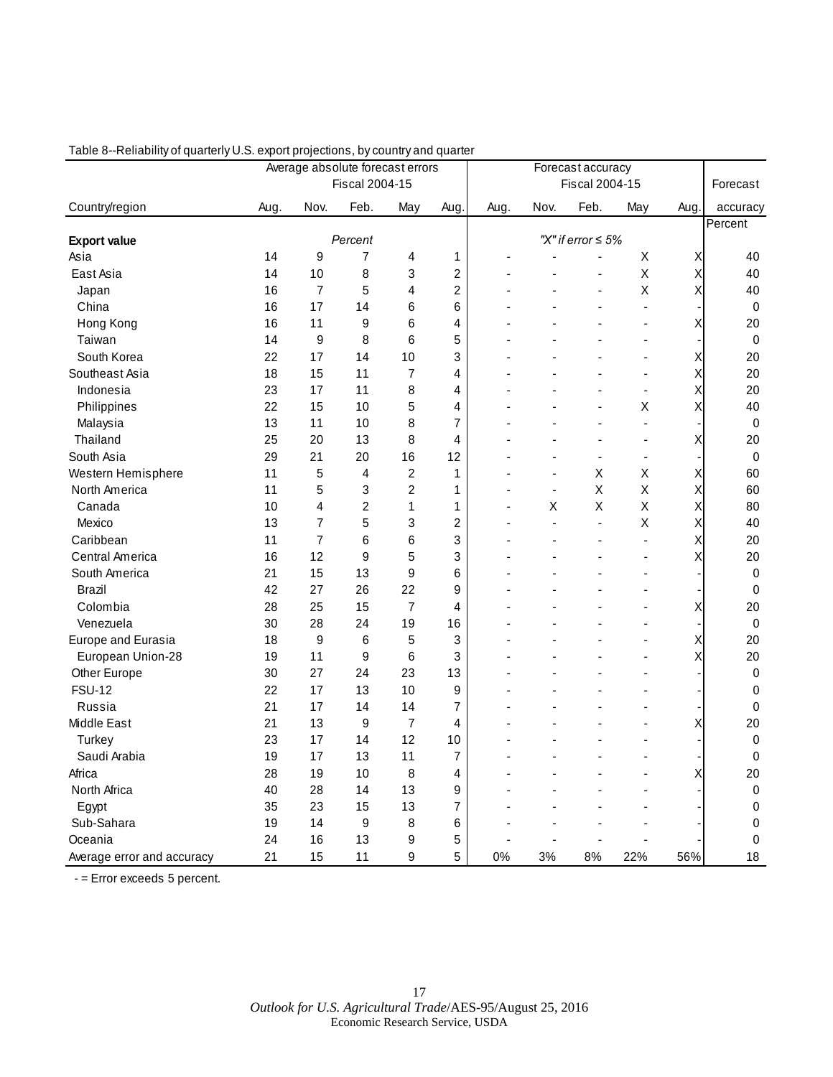| Fiscal 2004-15<br>Fiscal 2004-15<br>Forecast<br>Nov.<br>Feb.<br>Nov.<br>Feb.<br>Country/region<br>Aug.<br>May<br>Aug.<br>Aug.<br>May<br>Aug.<br>accuracy<br>Percent<br>"X" if error $\leq 5\%$<br>Percent<br><b>Export value</b><br>9<br>$\overline{7}$<br>Asia<br>14<br>4<br>$\mathbf{1}$<br>Χ<br>40<br>X<br>10<br>$\overline{2}$<br>East Asia<br>14<br>8<br>3<br>X<br>Χ<br>40<br>$\overline{c}$<br>$\overline{7}$<br>5<br>4<br>X<br>Χ<br>16<br>40<br>Japan<br>6<br>China<br>16<br>17<br>6<br>$\pmb{0}$<br>14<br>Hong Kong<br>16<br>11<br>9<br>6<br>4<br>Χ<br>20<br>Taiwan<br>6<br>5<br>14<br>9<br>8<br>$\mathbf 0$<br>17<br>3<br>South Korea<br>22<br>14<br>10<br>Χ<br>20<br>7<br>Southeast Asia<br>18<br>15<br>11<br>4<br>Χ<br>20<br>÷<br>23<br>17<br>11<br>8<br>Χ<br>20<br>Indonesia<br>4<br>÷,<br>X<br>Philippines<br>22<br>15<br>10<br>5<br>Χ<br>40<br>4<br>13<br>11<br>10<br>8<br>7<br>Malaysia<br>0<br>L,<br>25<br>Thailand<br>20<br>13<br>8<br>4<br>Χ<br>20<br>$\blacksquare$<br>South Asia<br>29<br>20<br>21<br>16<br>12<br>$\mathbf 0$<br>$\blacksquare$<br>$\blacksquare$<br>Western Hemisphere<br>11<br>5<br>$\overline{c}$<br>1<br>Χ<br>4<br>X<br>Х<br>60<br>÷,<br>$\blacksquare$<br>11<br>5<br>$\overline{c}$<br>$\sf X$<br>X<br>North America<br>3<br>$\mathbf{1}$<br>Χ<br>60<br>$\overline{c}$<br>X<br>10<br>4<br>1<br>1<br>X<br>X<br>Χ<br>80<br>Canada<br>13<br>$\overline{7}$<br>5<br>3<br>$\overline{c}$<br>40<br>Χ<br>Mexico<br>Χ<br>$\overline{a}$<br>÷,<br>Caribbean<br>11<br>$\overline{7}$<br>6<br>6<br>3<br>Χ<br>20<br>$\overline{a}$<br>12<br>5<br>3<br>Central America<br>16<br>9<br>Χ<br>20<br>15<br>9<br>6<br>South America<br>21<br>13<br>$\mathbf 0$<br>27<br>26<br>9<br>Brazil<br>42<br>22<br>0<br>÷.<br>$\overline{7}$<br>Colombia<br>28<br>25<br>15<br>4<br>Χ<br>20<br>Venezuela<br>30<br>28<br>24<br>19<br>16<br>$\mathbf 0$<br>Europe and Eurasia<br>18<br>9<br>6<br>5<br>3<br>Χ<br>20<br>3<br>Χ<br>European Union-28<br>19<br>11<br>9<br>6<br>20<br>Other Europe<br>30<br>27<br>24<br>23<br>13<br>$\pmb{0}$<br>$\overline{a}$<br><b>FSU-12</b><br>22<br>17<br>13<br>10<br>9<br>$\pmb{0}$<br>21<br>Russia<br>17<br>14<br>14<br>$\overline{7}$<br>$\mathbf 0$<br>Middle East<br>21<br>13<br>9<br>$\overline{7}$<br>4<br>X<br>20<br>23<br>12<br>$\pmb{0}$<br>Turkey<br>17<br>14<br>10<br>Saudi Arabia<br>19<br>17<br>11<br>7<br>13<br>0<br>$\blacksquare$<br>Africa<br>28<br>19<br>10<br>8<br>20<br>4<br>Χ<br>North Africa<br>9<br>$\pmb{0}$<br>40<br>28<br>14<br>13<br>35<br>23<br>15<br>13<br>7<br>$\pmb{0}$<br>Egypt |            |    | Average absolute forecast errors |   |   |   |  | Forecast accuracy |  |  |  |           |  |
|------------------------------------------------------------------------------------------------------------------------------------------------------------------------------------------------------------------------------------------------------------------------------------------------------------------------------------------------------------------------------------------------------------------------------------------------------------------------------------------------------------------------------------------------------------------------------------------------------------------------------------------------------------------------------------------------------------------------------------------------------------------------------------------------------------------------------------------------------------------------------------------------------------------------------------------------------------------------------------------------------------------------------------------------------------------------------------------------------------------------------------------------------------------------------------------------------------------------------------------------------------------------------------------------------------------------------------------------------------------------------------------------------------------------------------------------------------------------------------------------------------------------------------------------------------------------------------------------------------------------------------------------------------------------------------------------------------------------------------------------------------------------------------------------------------------------------------------------------------------------------------------------------------------------------------------------------------------------------------------------------------------------------------------------------------------------------------------------------------------------------------------------------------------------------------------------------------------------------------------------------------------------------------------------------------------------------------------------------------------------------------------------------------------------------------------------------------------------------------------------------------------------------------------------------------|------------|----|----------------------------------|---|---|---|--|-------------------|--|--|--|-----------|--|
|                                                                                                                                                                                                                                                                                                                                                                                                                                                                                                                                                                                                                                                                                                                                                                                                                                                                                                                                                                                                                                                                                                                                                                                                                                                                                                                                                                                                                                                                                                                                                                                                                                                                                                                                                                                                                                                                                                                                                                                                                                                                                                                                                                                                                                                                                                                                                                                                                                                                                                                                                            |            |    |                                  |   |   |   |  |                   |  |  |  |           |  |
|                                                                                                                                                                                                                                                                                                                                                                                                                                                                                                                                                                                                                                                                                                                                                                                                                                                                                                                                                                                                                                                                                                                                                                                                                                                                                                                                                                                                                                                                                                                                                                                                                                                                                                                                                                                                                                                                                                                                                                                                                                                                                                                                                                                                                                                                                                                                                                                                                                                                                                                                                            |            |    |                                  |   |   |   |  |                   |  |  |  |           |  |
|                                                                                                                                                                                                                                                                                                                                                                                                                                                                                                                                                                                                                                                                                                                                                                                                                                                                                                                                                                                                                                                                                                                                                                                                                                                                                                                                                                                                                                                                                                                                                                                                                                                                                                                                                                                                                                                                                                                                                                                                                                                                                                                                                                                                                                                                                                                                                                                                                                                                                                                                                            |            |    |                                  |   |   |   |  |                   |  |  |  |           |  |
|                                                                                                                                                                                                                                                                                                                                                                                                                                                                                                                                                                                                                                                                                                                                                                                                                                                                                                                                                                                                                                                                                                                                                                                                                                                                                                                                                                                                                                                                                                                                                                                                                                                                                                                                                                                                                                                                                                                                                                                                                                                                                                                                                                                                                                                                                                                                                                                                                                                                                                                                                            |            |    |                                  |   |   |   |  |                   |  |  |  |           |  |
|                                                                                                                                                                                                                                                                                                                                                                                                                                                                                                                                                                                                                                                                                                                                                                                                                                                                                                                                                                                                                                                                                                                                                                                                                                                                                                                                                                                                                                                                                                                                                                                                                                                                                                                                                                                                                                                                                                                                                                                                                                                                                                                                                                                                                                                                                                                                                                                                                                                                                                                                                            |            |    |                                  |   |   |   |  |                   |  |  |  |           |  |
|                                                                                                                                                                                                                                                                                                                                                                                                                                                                                                                                                                                                                                                                                                                                                                                                                                                                                                                                                                                                                                                                                                                                                                                                                                                                                                                                                                                                                                                                                                                                                                                                                                                                                                                                                                                                                                                                                                                                                                                                                                                                                                                                                                                                                                                                                                                                                                                                                                                                                                                                                            |            |    |                                  |   |   |   |  |                   |  |  |  |           |  |
|                                                                                                                                                                                                                                                                                                                                                                                                                                                                                                                                                                                                                                                                                                                                                                                                                                                                                                                                                                                                                                                                                                                                                                                                                                                                                                                                                                                                                                                                                                                                                                                                                                                                                                                                                                                                                                                                                                                                                                                                                                                                                                                                                                                                                                                                                                                                                                                                                                                                                                                                                            |            |    |                                  |   |   |   |  |                   |  |  |  |           |  |
|                                                                                                                                                                                                                                                                                                                                                                                                                                                                                                                                                                                                                                                                                                                                                                                                                                                                                                                                                                                                                                                                                                                                                                                                                                                                                                                                                                                                                                                                                                                                                                                                                                                                                                                                                                                                                                                                                                                                                                                                                                                                                                                                                                                                                                                                                                                                                                                                                                                                                                                                                            |            |    |                                  |   |   |   |  |                   |  |  |  |           |  |
|                                                                                                                                                                                                                                                                                                                                                                                                                                                                                                                                                                                                                                                                                                                                                                                                                                                                                                                                                                                                                                                                                                                                                                                                                                                                                                                                                                                                                                                                                                                                                                                                                                                                                                                                                                                                                                                                                                                                                                                                                                                                                                                                                                                                                                                                                                                                                                                                                                                                                                                                                            |            |    |                                  |   |   |   |  |                   |  |  |  |           |  |
|                                                                                                                                                                                                                                                                                                                                                                                                                                                                                                                                                                                                                                                                                                                                                                                                                                                                                                                                                                                                                                                                                                                                                                                                                                                                                                                                                                                                                                                                                                                                                                                                                                                                                                                                                                                                                                                                                                                                                                                                                                                                                                                                                                                                                                                                                                                                                                                                                                                                                                                                                            |            |    |                                  |   |   |   |  |                   |  |  |  |           |  |
|                                                                                                                                                                                                                                                                                                                                                                                                                                                                                                                                                                                                                                                                                                                                                                                                                                                                                                                                                                                                                                                                                                                                                                                                                                                                                                                                                                                                                                                                                                                                                                                                                                                                                                                                                                                                                                                                                                                                                                                                                                                                                                                                                                                                                                                                                                                                                                                                                                                                                                                                                            |            |    |                                  |   |   |   |  |                   |  |  |  |           |  |
|                                                                                                                                                                                                                                                                                                                                                                                                                                                                                                                                                                                                                                                                                                                                                                                                                                                                                                                                                                                                                                                                                                                                                                                                                                                                                                                                                                                                                                                                                                                                                                                                                                                                                                                                                                                                                                                                                                                                                                                                                                                                                                                                                                                                                                                                                                                                                                                                                                                                                                                                                            |            |    |                                  |   |   |   |  |                   |  |  |  |           |  |
|                                                                                                                                                                                                                                                                                                                                                                                                                                                                                                                                                                                                                                                                                                                                                                                                                                                                                                                                                                                                                                                                                                                                                                                                                                                                                                                                                                                                                                                                                                                                                                                                                                                                                                                                                                                                                                                                                                                                                                                                                                                                                                                                                                                                                                                                                                                                                                                                                                                                                                                                                            |            |    |                                  |   |   |   |  |                   |  |  |  |           |  |
|                                                                                                                                                                                                                                                                                                                                                                                                                                                                                                                                                                                                                                                                                                                                                                                                                                                                                                                                                                                                                                                                                                                                                                                                                                                                                                                                                                                                                                                                                                                                                                                                                                                                                                                                                                                                                                                                                                                                                                                                                                                                                                                                                                                                                                                                                                                                                                                                                                                                                                                                                            |            |    |                                  |   |   |   |  |                   |  |  |  |           |  |
|                                                                                                                                                                                                                                                                                                                                                                                                                                                                                                                                                                                                                                                                                                                                                                                                                                                                                                                                                                                                                                                                                                                                                                                                                                                                                                                                                                                                                                                                                                                                                                                                                                                                                                                                                                                                                                                                                                                                                                                                                                                                                                                                                                                                                                                                                                                                                                                                                                                                                                                                                            |            |    |                                  |   |   |   |  |                   |  |  |  |           |  |
|                                                                                                                                                                                                                                                                                                                                                                                                                                                                                                                                                                                                                                                                                                                                                                                                                                                                                                                                                                                                                                                                                                                                                                                                                                                                                                                                                                                                                                                                                                                                                                                                                                                                                                                                                                                                                                                                                                                                                                                                                                                                                                                                                                                                                                                                                                                                                                                                                                                                                                                                                            |            |    |                                  |   |   |   |  |                   |  |  |  |           |  |
|                                                                                                                                                                                                                                                                                                                                                                                                                                                                                                                                                                                                                                                                                                                                                                                                                                                                                                                                                                                                                                                                                                                                                                                                                                                                                                                                                                                                                                                                                                                                                                                                                                                                                                                                                                                                                                                                                                                                                                                                                                                                                                                                                                                                                                                                                                                                                                                                                                                                                                                                                            |            |    |                                  |   |   |   |  |                   |  |  |  |           |  |
|                                                                                                                                                                                                                                                                                                                                                                                                                                                                                                                                                                                                                                                                                                                                                                                                                                                                                                                                                                                                                                                                                                                                                                                                                                                                                                                                                                                                                                                                                                                                                                                                                                                                                                                                                                                                                                                                                                                                                                                                                                                                                                                                                                                                                                                                                                                                                                                                                                                                                                                                                            |            |    |                                  |   |   |   |  |                   |  |  |  |           |  |
|                                                                                                                                                                                                                                                                                                                                                                                                                                                                                                                                                                                                                                                                                                                                                                                                                                                                                                                                                                                                                                                                                                                                                                                                                                                                                                                                                                                                                                                                                                                                                                                                                                                                                                                                                                                                                                                                                                                                                                                                                                                                                                                                                                                                                                                                                                                                                                                                                                                                                                                                                            |            |    |                                  |   |   |   |  |                   |  |  |  |           |  |
|                                                                                                                                                                                                                                                                                                                                                                                                                                                                                                                                                                                                                                                                                                                                                                                                                                                                                                                                                                                                                                                                                                                                                                                                                                                                                                                                                                                                                                                                                                                                                                                                                                                                                                                                                                                                                                                                                                                                                                                                                                                                                                                                                                                                                                                                                                                                                                                                                                                                                                                                                            |            |    |                                  |   |   |   |  |                   |  |  |  |           |  |
|                                                                                                                                                                                                                                                                                                                                                                                                                                                                                                                                                                                                                                                                                                                                                                                                                                                                                                                                                                                                                                                                                                                                                                                                                                                                                                                                                                                                                                                                                                                                                                                                                                                                                                                                                                                                                                                                                                                                                                                                                                                                                                                                                                                                                                                                                                                                                                                                                                                                                                                                                            |            |    |                                  |   |   |   |  |                   |  |  |  |           |  |
|                                                                                                                                                                                                                                                                                                                                                                                                                                                                                                                                                                                                                                                                                                                                                                                                                                                                                                                                                                                                                                                                                                                                                                                                                                                                                                                                                                                                                                                                                                                                                                                                                                                                                                                                                                                                                                                                                                                                                                                                                                                                                                                                                                                                                                                                                                                                                                                                                                                                                                                                                            |            |    |                                  |   |   |   |  |                   |  |  |  |           |  |
|                                                                                                                                                                                                                                                                                                                                                                                                                                                                                                                                                                                                                                                                                                                                                                                                                                                                                                                                                                                                                                                                                                                                                                                                                                                                                                                                                                                                                                                                                                                                                                                                                                                                                                                                                                                                                                                                                                                                                                                                                                                                                                                                                                                                                                                                                                                                                                                                                                                                                                                                                            |            |    |                                  |   |   |   |  |                   |  |  |  |           |  |
|                                                                                                                                                                                                                                                                                                                                                                                                                                                                                                                                                                                                                                                                                                                                                                                                                                                                                                                                                                                                                                                                                                                                                                                                                                                                                                                                                                                                                                                                                                                                                                                                                                                                                                                                                                                                                                                                                                                                                                                                                                                                                                                                                                                                                                                                                                                                                                                                                                                                                                                                                            |            |    |                                  |   |   |   |  |                   |  |  |  |           |  |
|                                                                                                                                                                                                                                                                                                                                                                                                                                                                                                                                                                                                                                                                                                                                                                                                                                                                                                                                                                                                                                                                                                                                                                                                                                                                                                                                                                                                                                                                                                                                                                                                                                                                                                                                                                                                                                                                                                                                                                                                                                                                                                                                                                                                                                                                                                                                                                                                                                                                                                                                                            |            |    |                                  |   |   |   |  |                   |  |  |  |           |  |
|                                                                                                                                                                                                                                                                                                                                                                                                                                                                                                                                                                                                                                                                                                                                                                                                                                                                                                                                                                                                                                                                                                                                                                                                                                                                                                                                                                                                                                                                                                                                                                                                                                                                                                                                                                                                                                                                                                                                                                                                                                                                                                                                                                                                                                                                                                                                                                                                                                                                                                                                                            |            |    |                                  |   |   |   |  |                   |  |  |  |           |  |
|                                                                                                                                                                                                                                                                                                                                                                                                                                                                                                                                                                                                                                                                                                                                                                                                                                                                                                                                                                                                                                                                                                                                                                                                                                                                                                                                                                                                                                                                                                                                                                                                                                                                                                                                                                                                                                                                                                                                                                                                                                                                                                                                                                                                                                                                                                                                                                                                                                                                                                                                                            |            |    |                                  |   |   |   |  |                   |  |  |  |           |  |
|                                                                                                                                                                                                                                                                                                                                                                                                                                                                                                                                                                                                                                                                                                                                                                                                                                                                                                                                                                                                                                                                                                                                                                                                                                                                                                                                                                                                                                                                                                                                                                                                                                                                                                                                                                                                                                                                                                                                                                                                                                                                                                                                                                                                                                                                                                                                                                                                                                                                                                                                                            |            |    |                                  |   |   |   |  |                   |  |  |  |           |  |
|                                                                                                                                                                                                                                                                                                                                                                                                                                                                                                                                                                                                                                                                                                                                                                                                                                                                                                                                                                                                                                                                                                                                                                                                                                                                                                                                                                                                                                                                                                                                                                                                                                                                                                                                                                                                                                                                                                                                                                                                                                                                                                                                                                                                                                                                                                                                                                                                                                                                                                                                                            |            |    |                                  |   |   |   |  |                   |  |  |  |           |  |
|                                                                                                                                                                                                                                                                                                                                                                                                                                                                                                                                                                                                                                                                                                                                                                                                                                                                                                                                                                                                                                                                                                                                                                                                                                                                                                                                                                                                                                                                                                                                                                                                                                                                                                                                                                                                                                                                                                                                                                                                                                                                                                                                                                                                                                                                                                                                                                                                                                                                                                                                                            |            |    |                                  |   |   |   |  |                   |  |  |  |           |  |
|                                                                                                                                                                                                                                                                                                                                                                                                                                                                                                                                                                                                                                                                                                                                                                                                                                                                                                                                                                                                                                                                                                                                                                                                                                                                                                                                                                                                                                                                                                                                                                                                                                                                                                                                                                                                                                                                                                                                                                                                                                                                                                                                                                                                                                                                                                                                                                                                                                                                                                                                                            |            |    |                                  |   |   |   |  |                   |  |  |  |           |  |
|                                                                                                                                                                                                                                                                                                                                                                                                                                                                                                                                                                                                                                                                                                                                                                                                                                                                                                                                                                                                                                                                                                                                                                                                                                                                                                                                                                                                                                                                                                                                                                                                                                                                                                                                                                                                                                                                                                                                                                                                                                                                                                                                                                                                                                                                                                                                                                                                                                                                                                                                                            |            |    |                                  |   |   |   |  |                   |  |  |  |           |  |
|                                                                                                                                                                                                                                                                                                                                                                                                                                                                                                                                                                                                                                                                                                                                                                                                                                                                                                                                                                                                                                                                                                                                                                                                                                                                                                                                                                                                                                                                                                                                                                                                                                                                                                                                                                                                                                                                                                                                                                                                                                                                                                                                                                                                                                                                                                                                                                                                                                                                                                                                                            |            |    |                                  |   |   |   |  |                   |  |  |  |           |  |
|                                                                                                                                                                                                                                                                                                                                                                                                                                                                                                                                                                                                                                                                                                                                                                                                                                                                                                                                                                                                                                                                                                                                                                                                                                                                                                                                                                                                                                                                                                                                                                                                                                                                                                                                                                                                                                                                                                                                                                                                                                                                                                                                                                                                                                                                                                                                                                                                                                                                                                                                                            |            |    |                                  |   |   |   |  |                   |  |  |  |           |  |
|                                                                                                                                                                                                                                                                                                                                                                                                                                                                                                                                                                                                                                                                                                                                                                                                                                                                                                                                                                                                                                                                                                                                                                                                                                                                                                                                                                                                                                                                                                                                                                                                                                                                                                                                                                                                                                                                                                                                                                                                                                                                                                                                                                                                                                                                                                                                                                                                                                                                                                                                                            |            |    |                                  |   |   |   |  |                   |  |  |  |           |  |
|                                                                                                                                                                                                                                                                                                                                                                                                                                                                                                                                                                                                                                                                                                                                                                                                                                                                                                                                                                                                                                                                                                                                                                                                                                                                                                                                                                                                                                                                                                                                                                                                                                                                                                                                                                                                                                                                                                                                                                                                                                                                                                                                                                                                                                                                                                                                                                                                                                                                                                                                                            |            |    |                                  |   |   |   |  |                   |  |  |  |           |  |
|                                                                                                                                                                                                                                                                                                                                                                                                                                                                                                                                                                                                                                                                                                                                                                                                                                                                                                                                                                                                                                                                                                                                                                                                                                                                                                                                                                                                                                                                                                                                                                                                                                                                                                                                                                                                                                                                                                                                                                                                                                                                                                                                                                                                                                                                                                                                                                                                                                                                                                                                                            |            |    |                                  |   |   |   |  |                   |  |  |  |           |  |
|                                                                                                                                                                                                                                                                                                                                                                                                                                                                                                                                                                                                                                                                                                                                                                                                                                                                                                                                                                                                                                                                                                                                                                                                                                                                                                                                                                                                                                                                                                                                                                                                                                                                                                                                                                                                                                                                                                                                                                                                                                                                                                                                                                                                                                                                                                                                                                                                                                                                                                                                                            |            |    |                                  |   |   |   |  |                   |  |  |  |           |  |
|                                                                                                                                                                                                                                                                                                                                                                                                                                                                                                                                                                                                                                                                                                                                                                                                                                                                                                                                                                                                                                                                                                                                                                                                                                                                                                                                                                                                                                                                                                                                                                                                                                                                                                                                                                                                                                                                                                                                                                                                                                                                                                                                                                                                                                                                                                                                                                                                                                                                                                                                                            | Sub-Sahara | 19 | 14                               | 9 | 8 | 6 |  |                   |  |  |  | $\pmb{0}$ |  |
| 16<br>13<br>5<br>$\pmb{0}$<br>Oceania<br>24<br>9                                                                                                                                                                                                                                                                                                                                                                                                                                                                                                                                                                                                                                                                                                                                                                                                                                                                                                                                                                                                                                                                                                                                                                                                                                                                                                                                                                                                                                                                                                                                                                                                                                                                                                                                                                                                                                                                                                                                                                                                                                                                                                                                                                                                                                                                                                                                                                                                                                                                                                           |            |    |                                  |   |   |   |  |                   |  |  |  |           |  |
| 21<br>15<br>9<br>5<br>18<br>11<br>0%<br>3%<br>8%<br>22%<br>56%<br>Average error and accuracy                                                                                                                                                                                                                                                                                                                                                                                                                                                                                                                                                                                                                                                                                                                                                                                                                                                                                                                                                                                                                                                                                                                                                                                                                                                                                                                                                                                                                                                                                                                                                                                                                                                                                                                                                                                                                                                                                                                                                                                                                                                                                                                                                                                                                                                                                                                                                                                                                                                               |            |    |                                  |   |   |   |  |                   |  |  |  |           |  |

### Table 8--Reliability of quarterly U.S. export projections, by country and quarter

- = Error exceeds 5 percent.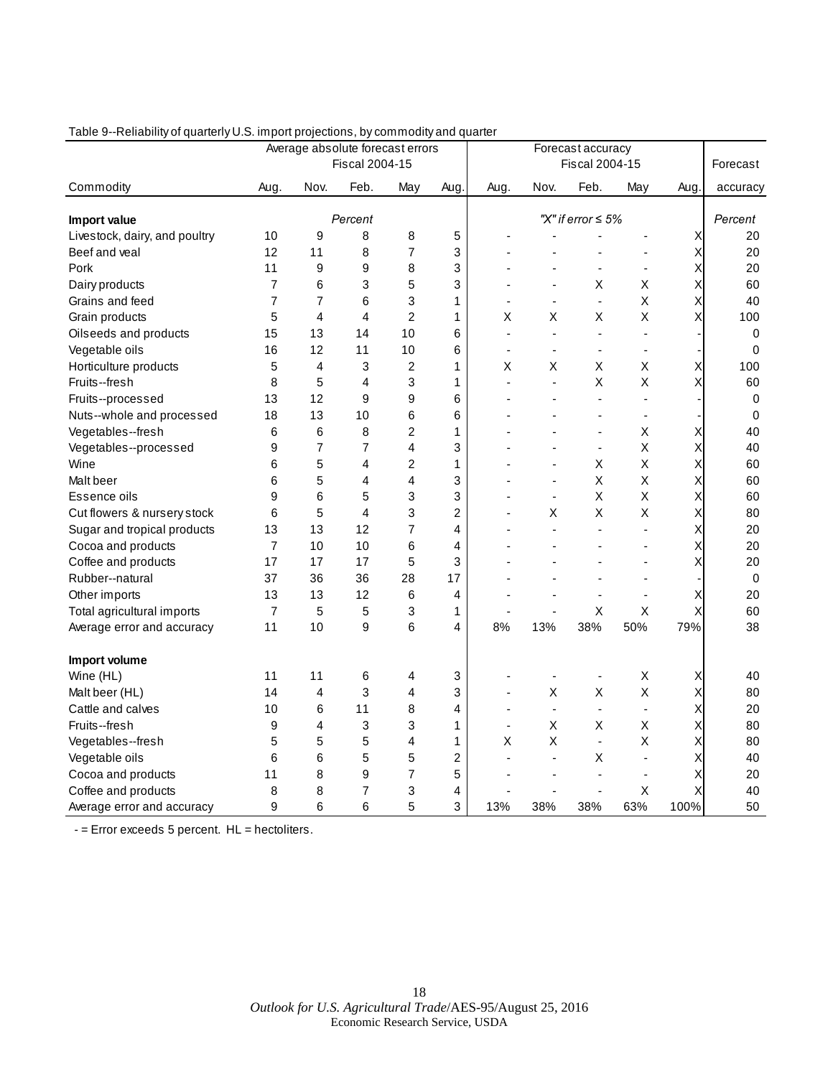|                               |                |                | $\cdot$ - , $\cdot$ - ,<br>Average absolute forecast errors |                |      | Forecast accuracy |      |                         |                |      |             |
|-------------------------------|----------------|----------------|-------------------------------------------------------------|----------------|------|-------------------|------|-------------------------|----------------|------|-------------|
|                               |                |                | Fiscal 2004-15                                              |                |      |                   |      | Fiscal 2004-15          |                |      | Forecast    |
| Commodity                     | Aug.           | Nov.           | Feb.                                                        | May            | Aug. | Aug.              | Nov. | Feb.                    | May            | Aug. | accuracy    |
| Import value                  |                |                | Percent                                                     |                |      |                   |      | "X" if error $\leq 5\%$ |                |      | Percent     |
| Livestock, dairy, and poultry | 10             | 9              | 8                                                           | 8              | 5    |                   |      |                         |                | Χ    | 20          |
| Beef and veal                 | 12             | 11             | 8                                                           | 7              | 3    |                   |      |                         |                | Χ    | 20          |
| Pork                          | 11             | 9              | 9                                                           | 8              | 3    |                   |      |                         | $\blacksquare$ | Χ    | 20          |
| Dairy products                | $\overline{7}$ | 6              | 3                                                           | 5              | 3    |                   |      | Χ                       | Χ              | X    | 60          |
| Grains and feed               | 7              | $\overline{7}$ | 6                                                           | 3              | 1    |                   |      | ä,                      | X              | X    | 40          |
| Grain products                | 5              | 4              | 4                                                           | $\overline{2}$ | 1    | X                 | Χ    | X                       | X              | X    | 100         |
| Oilseeds and products         | 15             | 13             | 14                                                          | 10             | 6    | $\blacksquare$    | ÷,   | ä,                      |                |      | 0           |
| Vegetable oils                | 16             | 12             | 11                                                          | 10             | 6    | $\blacksquare$    |      | $\frac{1}{2}$           |                |      | 0           |
| Horticulture products         | 5              | 4              | 3                                                           | $\overline{c}$ | 1    | Χ                 | Χ    | Х                       | Χ              | Χ    | 100         |
| Fruits--fresh                 | 8              | 5              | 4                                                           | 3              | 1    | ÷.                |      | X                       | Χ              | Χ    | 60          |
| Fruits--processed             | 13             | 12             | 9                                                           | 9              | 6    |                   |      | ÷.                      |                |      | 0           |
| Nuts--whole and processed     | 18             | 13             | 10                                                          | 6              | 6    |                   |      | ٠                       |                |      | $\mathbf 0$ |
| Vegetables--fresh             | 6              | 6              | 8                                                           | 2              | 1    |                   |      | $\overline{a}$          | Χ              | Χ    | 40          |
| Vegetables--processed         | 9              | 7              | 7                                                           | 4              | 3    |                   |      | ä,                      | X              | X    | 40          |
| Wine                          | 6              | 5              | 4                                                           | $\overline{c}$ | 1    |                   |      | X                       | Χ              | X    | 60          |
| Malt beer                     | 6              | 5              | 4                                                           | 4              | 3    |                   | ÷.   | $\sf X$                 | Χ              | Χ    | 60          |
| Essence oils                  | 9              | 6              | 5                                                           | 3              | 3    |                   |      | X                       | Χ              | Χ    | 60          |
| Cut flowers & nursery stock   | 6              | 5              | $\overline{4}$                                              | 3              | 2    |                   | Χ    | Χ                       | Χ              | Χ    | 80          |
| Sugar and tropical products   | 13             | 13             | 12                                                          | 7              | 4    |                   |      | ÷,                      |                | Χ    | 20          |
| Cocoa and products            | $\overline{7}$ | 10             | 10                                                          | 6              | 4    |                   |      |                         |                | Χ    | 20          |
| Coffee and products           | 17             | 17             | 17                                                          | 5              | 3    |                   |      |                         |                | Χ    | 20          |
| Rubber--natural               | 37             | 36             | 36                                                          | 28             | 17   |                   |      |                         |                |      | $\mathbf 0$ |
| Other imports                 | 13             | 13             | 12                                                          | 6              | 4    |                   |      | ÷,                      |                | Х    | 20          |
| Total agricultural imports    | $\overline{7}$ | 5              | 5                                                           | 3              | 1    |                   |      | Х                       | Х              | Χ    | 60          |
| Average error and accuracy    | 11             | 10             | 9                                                           | 6              | 4    | 8%                | 13%  | 38%                     | 50%            | 79%  | 38          |
| Import volume                 |                |                |                                                             |                |      |                   |      |                         |                |      |             |
| Wine (HL)                     | 11             | 11             | 6                                                           | 4              | 3    |                   |      |                         | Χ              | Χ    | 40          |
| Malt beer (HL)                | 14             | $\overline{4}$ | 3                                                           | 4              | 3    | $\blacksquare$    | Χ    | Χ                       | X              | Χ    | 80          |
| Cattle and calves             | 10             | 6              | 11                                                          | 8              | 4    | $\blacksquare$    | ä,   | $\blacksquare$          |                | X    | 20          |
| Fruits--fresh                 | 9              | 4              | 3                                                           | 3              | 1    | $\blacksquare$    | Χ    | X                       | Χ              | Χ    | 80          |
| Vegetables--fresh             | 5              | 5              | 5                                                           | 4              | 1    | Χ                 | Χ    | $\blacksquare$          | Χ              | Χ    | 80          |
| Vegetable oils                | 6              | 6              | 5                                                           | 5              | 2    |                   |      | Χ                       |                | Χ    | 40          |
| Cocoa and products            | 11             | 8              | 9                                                           | 7              | 5    |                   |      | ÷.                      |                | Х    | 20          |
| Coffee and products           | 8              | 8              | 7                                                           | 3              | 4    |                   |      |                         | Χ              | X    | 40          |
| Average error and accuracy    | 9              | 6              | 6                                                           | 5              | 3    | 13%               | 38%  | 38%                     | 63%            | 100% | 50          |

### Table 9--Reliability of quarterly U.S. import projections, by commodity and quarter

 $-$  = Error exceeds 5 percent.  $HL$  = hectoliters.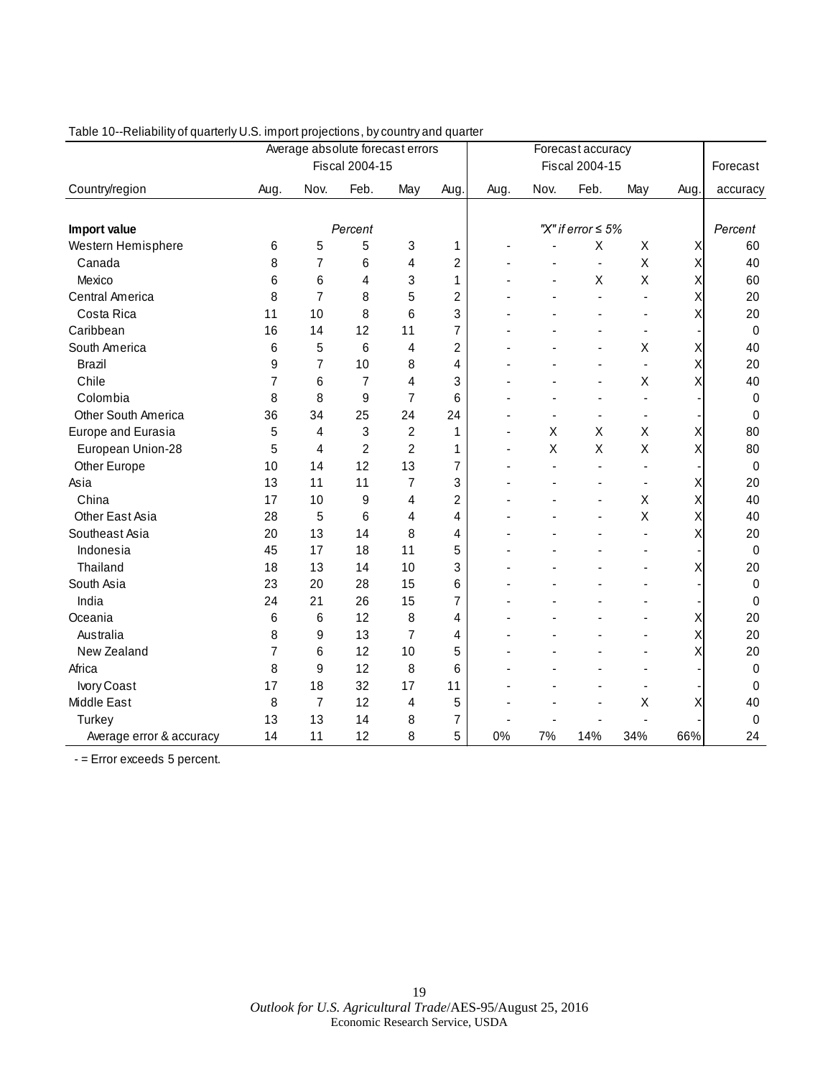|                          | Average absolute forecast errors |                |                |                |                |                       | Forecast accuracy |                         |     |      |             |
|--------------------------|----------------------------------|----------------|----------------|----------------|----------------|-----------------------|-------------------|-------------------------|-----|------|-------------|
|                          |                                  |                | Fiscal 2004-15 |                |                | <b>Fiscal 2004-15</b> |                   |                         |     |      | Forecast    |
| Country/region           | Aug.                             | Nov.           | Feb.           | May            | Aug.           | Aug.                  | Nov.              | Feb.                    | May | Aug. | accuracy    |
|                          |                                  |                |                |                |                |                       |                   |                         |     |      |             |
| Import value             |                                  |                | Percent        |                |                |                       |                   | "X" if error $\leq 5\%$ |     |      | Percent     |
| Western Hemisphere       | 6                                | 5              | 5              | 3              | 1              |                       |                   | Χ                       | X   | Χ    | 60          |
| Canada                   | 8                                | 7              | 6              | 4              | $\overline{c}$ |                       |                   | $\blacksquare$          | X   | Χ    | 40          |
| Mexico                   | 6                                | 6              | 4              | 3              | 1              |                       |                   | X                       | X   | Χ    | 60          |
| Central America          | 8                                | $\overline{7}$ | 8              | 5              | $\overline{c}$ |                       |                   |                         |     | Χ    | 20          |
| Costa Rica               | 11                               | 10             | 8              | 6              | 3              |                       |                   |                         |     | Χ    | 20          |
| Caribbean                | 16                               | 14             | 12             | 11             | $\overline{7}$ |                       |                   |                         |     |      | $\mathbf 0$ |
| South America            | 6                                | 5              | 6              | 4              | $\overline{c}$ |                       |                   |                         | Χ   | Χ    | 40          |
| <b>Brazil</b>            | 9                                | 7              | 10             | 8              | 4              |                       |                   |                         |     | Χ    | 20          |
| Chile                    | 7                                | 6              | 7              | 4              | 3              |                       |                   |                         | X   | Χ    | 40          |
| Colombia                 | 8                                | 8              | 9              | 7              | 6              |                       |                   |                         |     |      | 0           |
| Other South America      | 36                               | 34             | 25             | 24             | 24             |                       |                   | $\overline{a}$          |     |      | 0           |
| Europe and Eurasia       | 5                                | 4              | 3              | 2              | 1              |                       | X                 | X                       | X   | Χ    | 80          |
| European Union-28        | 5                                | 4              | $\overline{2}$ | $\overline{2}$ | 1              |                       | X                 | Χ                       | X   | Χ    | 80          |
| Other Europe             | 10                               | 14             | 12             | 13             | 7              |                       |                   | $\overline{a}$          |     |      | $\pmb{0}$   |
| Asia                     | 13                               | 11             | 11             | 7              | 3              |                       |                   |                         |     | Χ    | 20          |
| China                    | 17                               | 10             | 9              | 4              | $\overline{c}$ |                       |                   |                         | Χ   | Χ    | 40          |
| Other East Asia          | 28                               | 5              | 6              | 4              | 4              |                       |                   |                         | X   | Χ    | 40          |
| Southeast Asia           | 20                               | 13             | 14             | 8              | 4              |                       |                   |                         |     | Χ    | 20          |
| Indonesia                | 45                               | 17             | 18             | 11             | 5              |                       |                   |                         |     |      | $\pmb{0}$   |
| Thailand                 | 18                               | 13             | 14             | 10             | 3              |                       |                   |                         |     | Χ    | 20          |
| South Asia               | 23                               | 20             | 28             | 15             | 6              |                       |                   |                         |     |      | 0           |
| India                    | 24                               | 21             | 26             | 15             | 7              |                       |                   |                         |     |      | 0           |
| Oceania                  | 6                                | 6              | 12             | 8              | 4              |                       |                   |                         |     | Χ    | 20          |
| Australia                | 8                                | 9              | 13             | 7              | 4              |                       |                   |                         |     | Χ    | 20          |
| New Zealand              | 7                                | 6              | 12             | 10             | 5              |                       |                   |                         |     | X    | 20          |
| Africa                   | 8                                | 9              | 12             | 8              | 6              |                       |                   |                         |     |      | 0           |
| Ivory Coast              | 17                               | 18             | 32             | 17             | 11             |                       |                   |                         |     |      | 0           |
| Middle East              | 8                                | 7              | 12             | 4              | 5              |                       |                   |                         | Χ   |      | 40          |
| Turkey                   | 13                               | 13             | 14             | 8              | 7              |                       |                   |                         |     |      | 0           |
| Average error & accuracy | 14                               | 11             | 12             | 8              | 5              | 0%                    | 7%                | 14%                     | 34% | 66%  | 24          |

### Table 10--Reliability of quarterly U.S. import projections, by country and quarter

- = Error exceeds 5 percent.